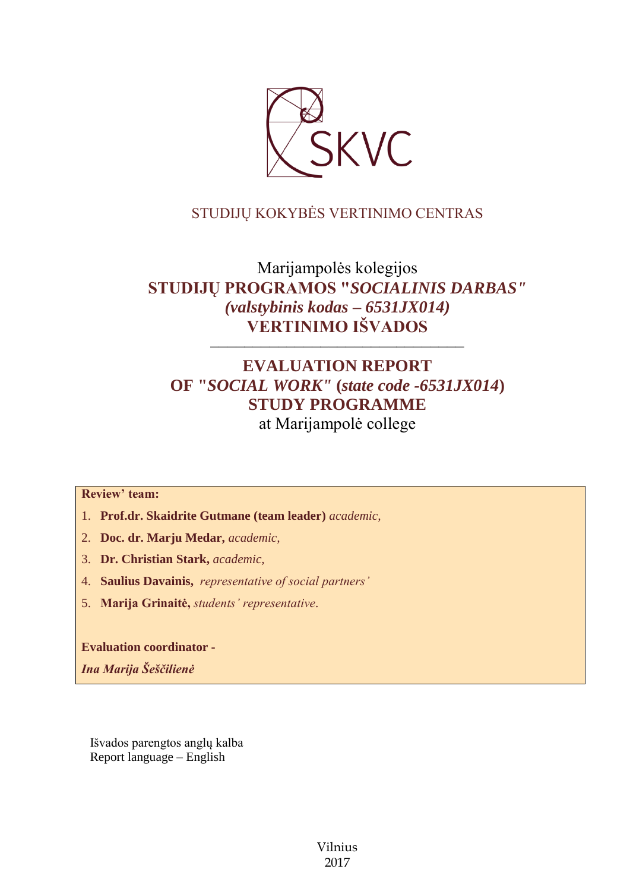

# STUDIJŲ KOKYBĖS VERTINIMO CENTRAS

# Marijampolės kolegijos **STUDIJŲ PROGRAMOS "***SOCIALINIS DARBAS" (valstybinis kodas – 6531JX014)* **VERTINIMO IŠVADOS**

––––––––––––––––––––––––––––––

# **EVALUATION REPORT OF "***SOCIAL WORK"* **(***state code -6531JX014***) STUDY PROGRAMME** at Marijampolė college

**Review' team:** 

- 1. **Prof.dr. Skaidrite Gutmane (team leader)** *academic,*
- 2. **Doc. dr. Marju Medar,** *academic,*
- 3. **Dr. Christian Stark,** *academic,*
- 4. **Saulius Davainis,** *representative of social partners'*
- 5. **Marija Grinaitė,** *students' representative*.

**Evaluation coordinator -** *Ina Marija Šeščilienė* 

Išvados parengtos anglų kalba Report language – English

> Vilnius 2017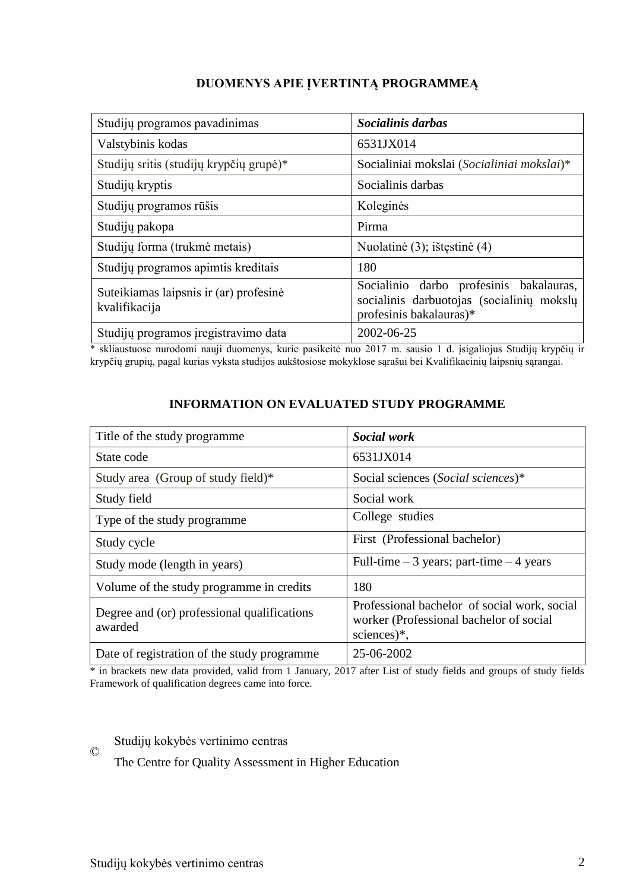# **DUOMENYS APIE ĮVERTINTĄ PROGRAMMEĄ**

| Studijų programos pavadinimas                           | Socialinis darbas                                                                                               |
|---------------------------------------------------------|-----------------------------------------------------------------------------------------------------------------|
| Valstybinis kodas                                       | 6531JX014                                                                                                       |
| Studijų sritis (studijų krypčių grupė)*                 | Socialiniai mokslai (Socialiniai mokslai)*                                                                      |
| Studijų kryptis                                         | Socialinis darbas                                                                                               |
| Studijų programos rūšis                                 | Koleginės                                                                                                       |
| Studijų pakopa                                          | Pirma                                                                                                           |
| Studijų forma (trukmė metais)                           | Nuolatinė (3); ištęstinė (4)                                                                                    |
| Studijų programos apimtis kreditais                     | 180                                                                                                             |
| Suteikiamas laipsnis ir (ar) profesinė<br>kvalifikacija | Socialinio darbo profesinis bakalauras,<br>socialinis darbuotojas (socialinių mokslų<br>profesinis bakalauras)* |
| Studijų programos įregistravimo data                    | 2002-06-25                                                                                                      |

\* skliaustuose nurodomi nauji duomenys, kurie pasikeitė nuo 2017 m. sausio 1 d. įsigaliojus Studijų krypčių ir krypčių grupių, pagal kurias vyksta studijos aukštosiose mokyklose sąrašui bei Kvalifikacinių laipsnių sąrangai.

| Title of the study programme                           | Social work                                                                                            |
|--------------------------------------------------------|--------------------------------------------------------------------------------------------------------|
| State code                                             | 6531JX014                                                                                              |
| Study area (Group of study field)*                     | Social sciences (Social sciences)*                                                                     |
| Study field                                            | Social work                                                                                            |
| Type of the study programme                            | College studies                                                                                        |
| Study cycle                                            | First (Professional bachelor)                                                                          |
| Study mode (length in years)                           | Full-time $-3$ years; part-time $-4$ years                                                             |
| Volume of the study programme in credits               | 180                                                                                                    |
| Degree and (or) professional qualifications<br>awarded | Professional bachelor of social work, social<br>worker (Professional bachelor of social<br>sciences)*, |
| Date of registration of the study programme            | 25-06-2002                                                                                             |

# **INFORMATION ON EVALUATED STUDY PROGRAMME**

\* in brackets new data provided, valid from 1 January, 2017 after List of study fields and groups of study fields Framework of qualification degrees came into force.

Studijų kokybės vertinimo centras

©

The Centre for Quality Assessment in Higher Education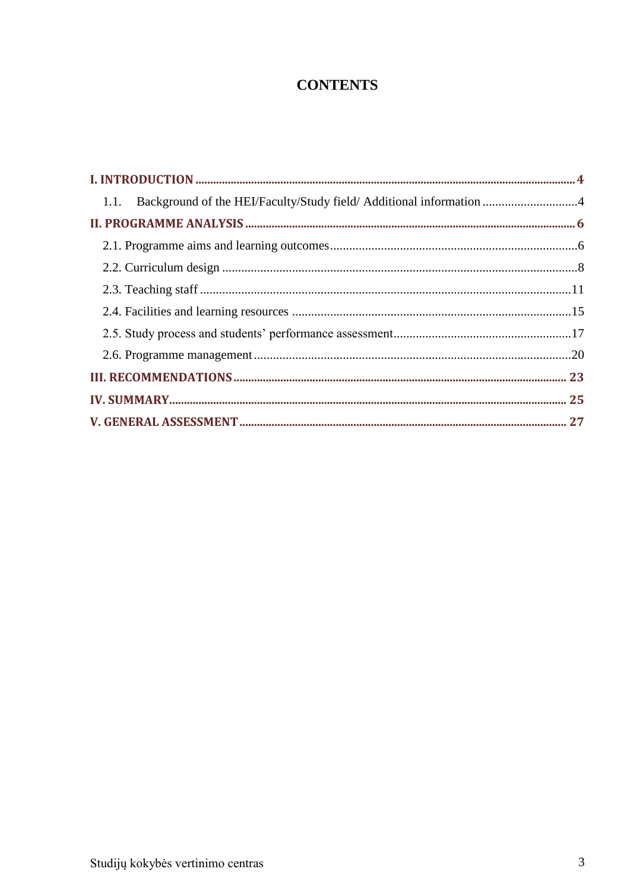# **CONTENTS**

| 1.1. |  |
|------|--|
|      |  |
|      |  |
|      |  |
|      |  |
|      |  |
|      |  |
|      |  |
|      |  |
|      |  |
|      |  |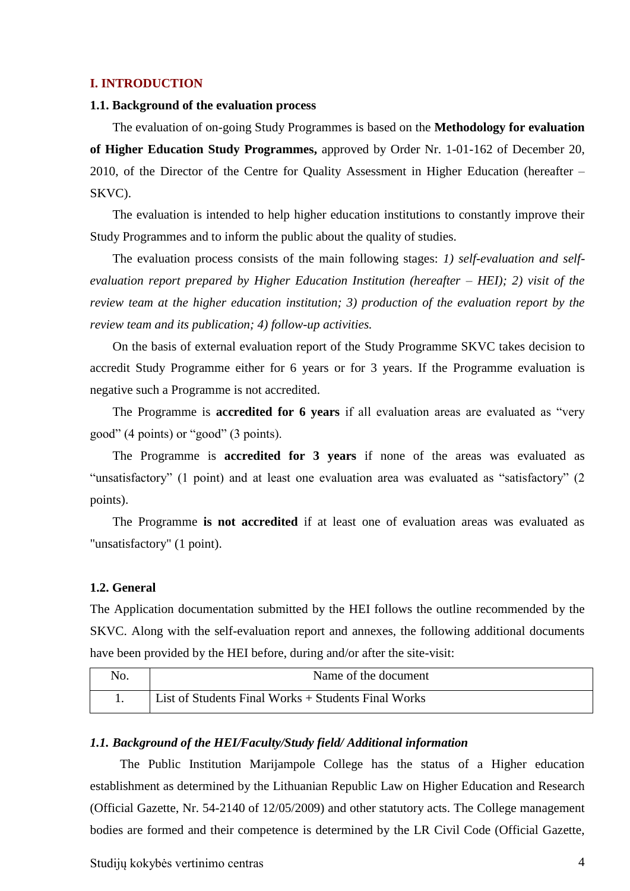#### <span id="page-3-0"></span>**I. INTRODUCTION**

#### **1.1. Background of the evaluation process**

The evaluation of on-going Study Programmes is based on the **Methodology for evaluation of Higher Education Study Programmes,** approved by Order Nr. 1-01-162 of December 20, 2010, of the Director of the Centre for Quality Assessment in Higher Education (hereafter – SKVC).

The evaluation is intended to help higher education institutions to constantly improve their Study Programmes and to inform the public about the quality of studies.

The evaluation process consists of the main following stages: *1) self-evaluation and selfevaluation report prepared by Higher Education Institution (hereafter – HEI); 2) visit of the review team at the higher education institution; 3) production of the evaluation report by the review team and its publication; 4) follow-up activities.* 

On the basis of external evaluation report of the Study Programme SKVC takes decision to accredit Study Programme either for 6 years or for 3 years. If the Programme evaluation is negative such a Programme is not accredited.

The Programme is **accredited for 6 years** if all evaluation areas are evaluated as "very good" (4 points) or "good" (3 points).

The Programme is **accredited for 3 years** if none of the areas was evaluated as "unsatisfactory" (1 point) and at least one evaluation area was evaluated as "satisfactory" (2 points).

The Programme **is not accredited** if at least one of evaluation areas was evaluated as "unsatisfactory" (1 point).

#### **1.2. General**

The Application documentation submitted by the HEI follows the outline recommended by the SKVC. Along with the self-evaluation report and annexes, the following additional documents have been provided by the HEI before, during and/or after the site-visit:

| No. | Name of the document                                |
|-----|-----------------------------------------------------|
|     | List of Students Final Works + Students Final Works |

#### <span id="page-3-1"></span>*1.1. Background of the HEI/Faculty/Study field/ Additional information*

The Public Institution Marijampole College has the status of a Higher education establishment as determined by the Lithuanian Republic Law on Higher Education and Research (Official Gazette, Nr. 54-2140 of 12/05/2009) and other statutory acts. The College management bodies are formed and their competence is determined by the LR Civil Code (Official Gazette,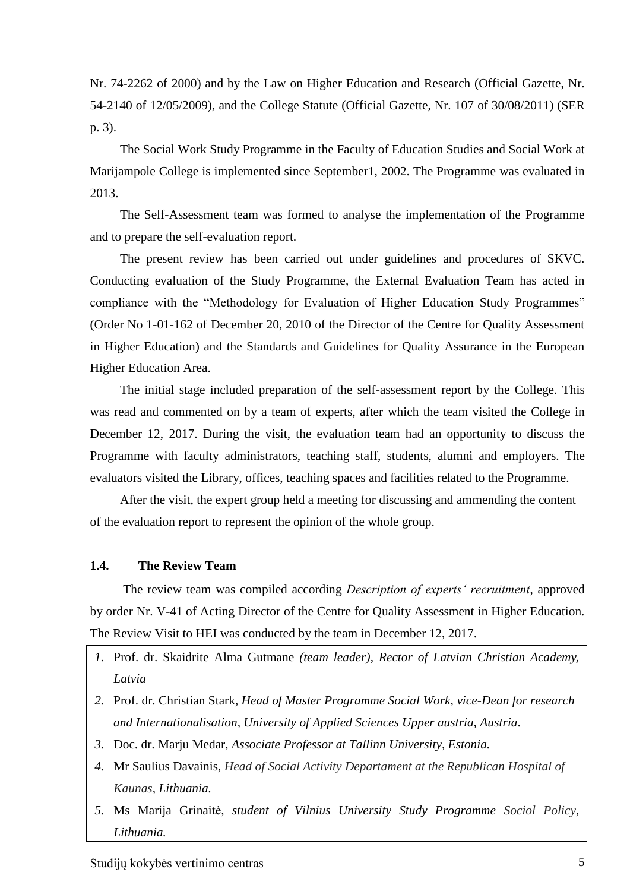Nr. 74-2262 of 2000) and by the Law on Higher Education and Research (Official Gazette, Nr. 54-2140 of 12/05/2009), and the College Statute (Official Gazette, Nr. 107 of 30/08/2011) (SER p. 3).

The Social Work Study Programme in the Faculty of Education Studies and Social Work at Marijampole College is implemented since September1, 2002. The Programme was evaluated in 2013.

The Self-Assessment team was formed to analyse the implementation of the Programme and to prepare the self-evaluation report.

The present review has been carried out under guidelines and procedures of SKVC. Conducting evaluation of the Study Programme, the External Evaluation Team has acted in compliance with the "Methodology for Evaluation of Higher Education Study Programmes" (Order No 1-01-162 of December 20, 2010 of the Director of the Centre for Quality Assessment in Higher Education) and the Standards and Guidelines for Quality Assurance in the European Higher Education Area.

The initial stage included preparation of the self-assessment report by the College. This was read and commented on by a team of experts, after which the team visited the College in December 12, 2017. During the visit, the evaluation team had an opportunity to discuss the Programme with faculty administrators, teaching staff, students, alumni and employers. The evaluators visited the Library, offices, teaching spaces and facilities related to the Programme.

After the visit, the expert group held a meeting for discussing and ammending the content of the evaluation report to represent the opinion of the whole group.

## **1.4. The Review Team**

The review team was compiled according *Description of experts' recruitment*, approved by order Nr. V-41 of Acting Director of the Centre for Quality Assessment in Higher Education. The Review Visit to HEI was conducted by the team in December 12, 2017.

- *1.* Prof. dr. Skaidrite Alma Gutmane (team leader), Rector of Latvian Christian Academy, *Latvia*
- *2.* Prof. dr. Christian Stark*, Head of Master Programme Social Work, vice-Dean for research and Internationalisation, University of Applied Sciences Upper austria, Austria.*
- *3.* Doc. dr. Marju Medar*, Associate Professor at Tallinn University, Estonia.*
- *4.* Mr Saulius Davainis*, Head of Social Activity Departament at the Republican Hospital of Kaunas, Lithuania.*
- *5.* Ms Marija Grinaitė*, student of Vilnius University Study Programme Sociol Policy, Lithuania.*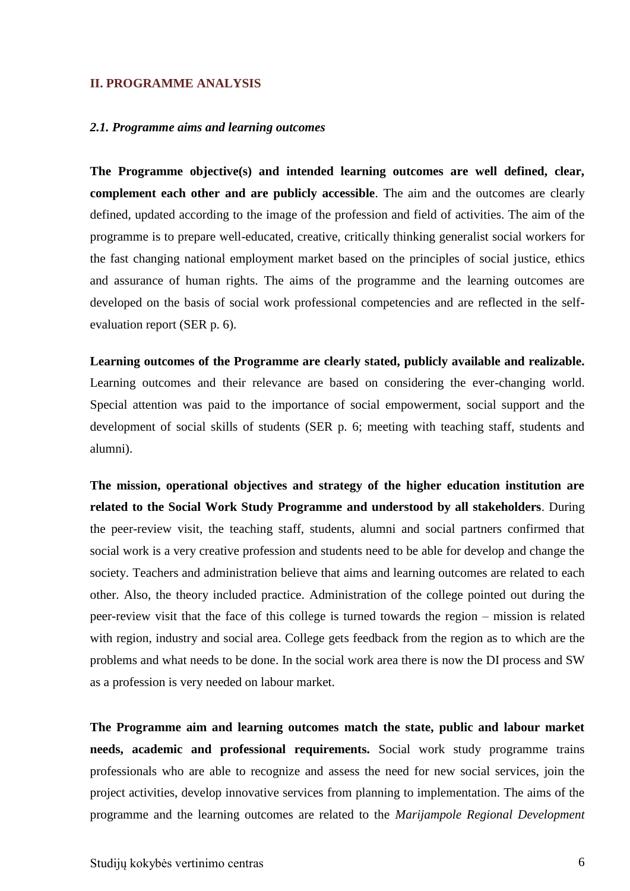#### <span id="page-5-1"></span><span id="page-5-0"></span>**II. PROGRAMME ANALYSIS**

#### *2.1. Programme aims and learning outcomes*

**The Programme objective(s) and intended learning outcomes are well defined, clear, complement each other and are publicly accessible**. The aim and the outcomes are clearly defined, updated according to the image of the profession and field of activities. The aim of the programme is to prepare well-educated, creative, critically thinking generalist social workers for the fast changing national employment market based on the principles of social justice, ethics and assurance of human rights. The aims of the programme and the learning outcomes are developed on the basis of social work professional competencies and are reflected in the selfevaluation report (SER p. 6).

**Learning outcomes of the Programme are clearly stated, publicly available and realizable.**  Learning outcomes and their relevance are based on considering the ever-changing world. Special attention was paid to the importance of social empowerment, social support and the development of social skills of students (SER p. 6; meeting with teaching staff, students and alumni).

**The mission, operational objectives and strategy of the higher education institution are related to the Social Work Study Programme and understood by all stakeholders**. During the peer-review visit, the teaching staff, students, alumni and social partners confirmed that social work is a very creative profession and students need to be able for develop and change the society. Teachers and administration believe that aims and learning outcomes are related to each other. Also, the theory included practice. Administration of the college pointed out during the peer-review visit that the face of this college is turned towards the region – mission is related with region, industry and social area. College gets feedback from the region as to which are the problems and what needs to be done. In the social work area there is now the DI process and SW as a profession is very needed on labour market.

**The Programme aim and learning outcomes match the state, public and labour market needs, academic and professional requirements.** Social work study programme trains professionals who are able to recognize and assess the need for new social services, join the project activities, develop innovative services from planning to implementation. The aims of the programme and the learning outcomes are related to the *Marijampole Regional Development*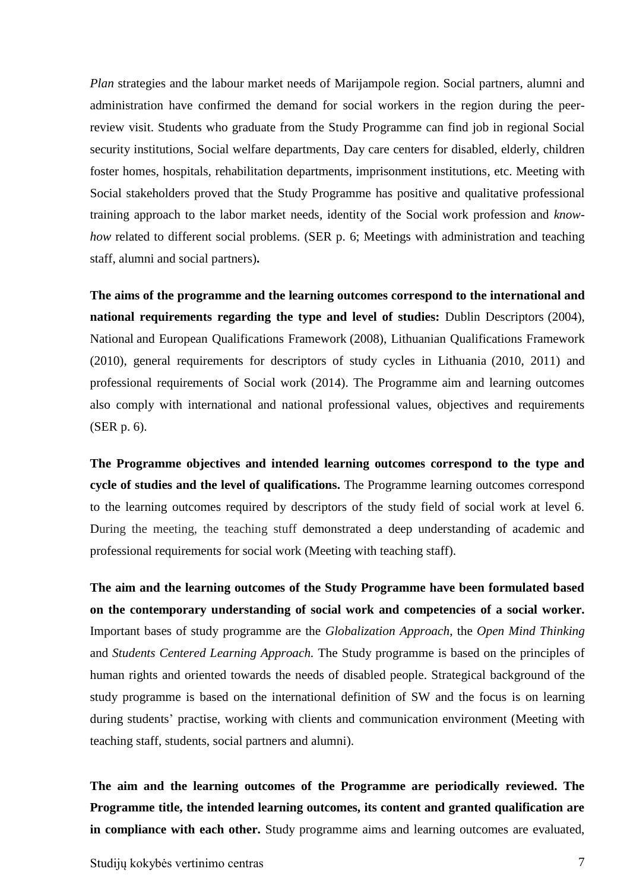*Plan* strategies and the labour market needs of Marijampole region. Social partners, alumni and administration have confirmed the demand for social workers in the region during the peerreview visit. Students who graduate from the Study Programme can find job in regional Social security institutions, Social welfare departments, Day care centers for disabled, elderly, children foster homes, hospitals, rehabilitation departments, imprisonment institutions, etc. Meeting with Social stakeholders proved that the Study Programme has positive and qualitative professional training approach to the labor market needs, identity of the Social work profession and *knowhow* related to different social problems. (SER p. 6; Meetings with administration and teaching staff, alumni and social partners)**.**

**The aims of the programme and the learning outcomes correspond to the international and national requirements regarding the type and level of studies:** Dublin Descriptors (2004), National and European Qualifications Framework (2008), Lithuanian Qualifications Framework (2010), general requirements for descriptors of study cycles in Lithuania (2010, 2011) and professional requirements of Social work (2014). The Programme aim and learning outcomes also comply with international and national professional values, objectives and requirements (SER p. 6).

**The Programme objectives and intended learning outcomes correspond to the type and cycle of studies and the level of qualifications.** The Programme learning outcomes correspond to the learning outcomes required by descriptors of the study field of social work at level 6. During the meeting, the teaching stuff demonstrated a deep understanding of academic and professional requirements for social work (Meeting with teaching staff).

**The aim and the learning outcomes of the Study Programme have been formulated based on the contemporary understanding of social work and competencies of a social worker.** Important bases of study programme are the *Globalization Approach*, the *Open Mind Thinking* and *Students Centered Learning Approach.* The Study programme is based on the principles of human rights and oriented towards the needs of disabled people. Strategical background of the study programme is based on the international definition of SW and the focus is on learning during students' practise, working with clients and communication environment (Meeting with teaching staff, students, social partners and alumni).

**The aim and the learning outcomes of the Programme are periodically reviewed. The Programme title, the intended learning outcomes, its content and granted qualification are in compliance with each other.** Study programme aims and learning outcomes are evaluated,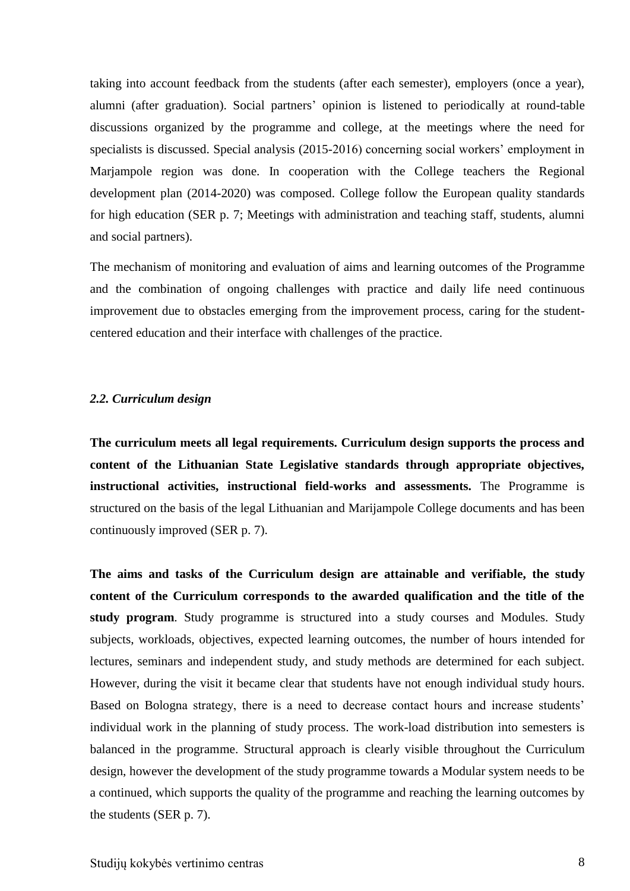taking into account feedback from the students (after each semester), employers (once a year), alumni (after graduation). Social partners' opinion is listened to periodically at round-table discussions organized by the programme and college, at the meetings where the need for specialists is discussed. Special analysis (2015-2016) concerning social workers' employment in Marjampole region was done. In cooperation with the College teachers the Regional development plan (2014-2020) was composed. College follow the European quality standards for high education (SER p. 7; Meetings with administration and teaching staff, students, alumni and social partners).

The mechanism of monitoring and evaluation of aims and learning outcomes of the Programme and the combination of ongoing challenges with practice and daily life need continuous improvement due to obstacles emerging from the improvement process, caring for the studentcentered education and their interface with challenges of the practice.

#### <span id="page-7-0"></span>*2.2. Curriculum design*

**The curriculum meets all legal requirements. Curriculum design supports the process and content of the Lithuanian State Legislative standards through appropriate objectives, instructional activities, instructional field-works and assessments.** The Programme is structured on the basis of the legal Lithuanian and Marijampole College documents and has been continuously improved (SER p. 7).

**The aims and tasks of the Curriculum design are attainable and verifiable, the study content of the Curriculum corresponds to the awarded qualification and the title of the study program**. Study programme is structured into a study courses and Modules. Study subjects, workloads, objectives, expected learning outcomes, the number of hours intended for lectures, seminars and independent study, and study methods are determined for each subject. However, during the visit it became clear that students have not enough individual study hours. Based on Bologna strategy, there is a need to decrease contact hours and increase students' individual work in the planning of study process. The work-load distribution into semesters is balanced in the programme. Structural approach is clearly visible throughout the Curriculum design, however the development of the study programme towards a Modular system needs to be a continued, which supports the quality of the programme and reaching the learning outcomes by the students (SER p. 7).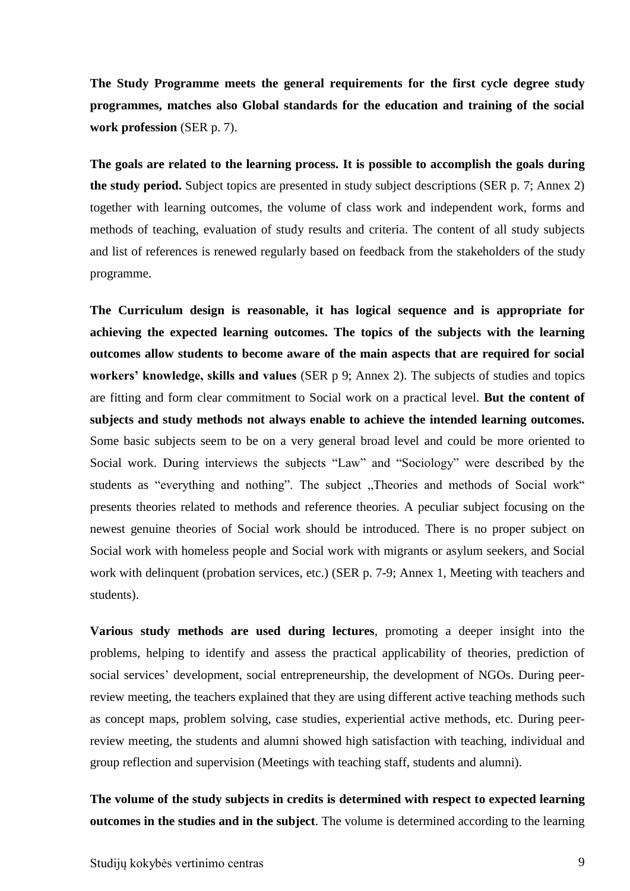**The Study Programme meets the general requirements for the first cycle degree study programmes, matches also Global standards for the education and training of the social work profession** (SER p. 7).

**The goals are related to the learning process. It is possible to accomplish the goals during the study period.** Subject topics are presented in study subject descriptions (SER p. 7; Annex 2) together with learning outcomes, the volume of class work and independent work, forms and methods of teaching, evaluation of study results and criteria. The content of all study subjects and list of references is renewed regularly based on feedback from the stakeholders of the study programme.

**The Curriculum design is reasonable, it has logical sequence and is appropriate for achieving the expected learning outcomes. The topics of the subjects with the learning outcomes allow students to become aware of the main aspects that are required for social workers' knowledge, skills and values** (SER p 9; Annex 2). The subjects of studies and topics are fitting and form clear commitment to Social work on a practical level. **But the content of subjects and study methods not always enable to achieve the intended learning outcomes.**  Some basic subjects seem to be on a very general broad level and could be more oriented to Social work. During interviews the subjects "Law" and "Sociology" were described by the students as "everything and nothing". The subject "Theories and methods of Social work" presents theories related to methods and reference theories. A peculiar subject focusing on the newest genuine theories of Social work should be introduced. There is no proper subject on Social work with homeless people and Social work with migrants or asylum seekers, and Social work with delinquent (probation services, etc.) (SER p. 7-9; Annex 1, Meeting with teachers and students).

**Various study methods are used during lectures**, promoting a deeper insight into the problems, helping to identify and assess the practical applicability of theories, prediction of social services' development, social entrepreneurship, the development of NGOs. During peerreview meeting, the teachers explained that they are using different active teaching methods such as concept maps, problem solving, case studies, experiential active methods, etc. During peerreview meeting, the students and alumni showed high satisfaction with teaching, individual and group reflection and supervision (Meetings with teaching staff, students and alumni).

**The volume of the study subjects in credits is determined with respect to expected learning outcomes in the studies and in the subject**. The volume is determined according to the learning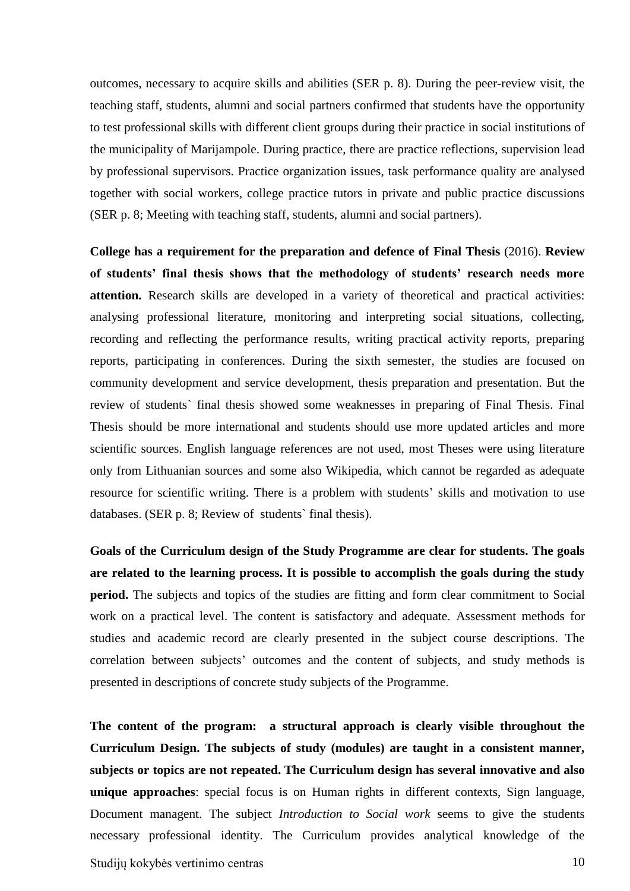outcomes, necessary to acquire skills and abilities (SER p. 8). During the peer-review visit, the teaching staff, students, alumni and social partners confirmed that students have the opportunity to test professional skills with different client groups during their practice in social institutions of the municipality of Marijampole. During practice, there are practice reflections, supervision lead by professional supervisors. Practice organization issues, task performance quality are analysed together with social workers, college practice tutors in private and public practice discussions (SER p. 8; Meeting with teaching staff, students, alumni and social partners).

**College has a requirement for the preparation and defence of Final Thesis** (2016). **Review of students' final thesis shows that the methodology of students' research needs more attention.** Research skills are developed in a variety of theoretical and practical activities: analysing professional literature, monitoring and interpreting social situations, collecting, recording and reflecting the performance results, writing practical activity reports, preparing reports, participating in conferences. During the sixth semester, the studies are focused on community development and service development, thesis preparation and presentation. But the review of students` final thesis showed some weaknesses in preparing of Final Thesis. Final Thesis should be more international and students should use more updated articles and more scientific sources. English language references are not used, most Theses were using literature only from Lithuanian sources and some also Wikipedia, which cannot be regarded as adequate resource for scientific writing. There is a problem with students' skills and motivation to use databases. (SER p. 8; Review of students` final thesis).

**Goals of the Curriculum design of the Study Programme are clear for students. The goals are related to the learning process. It is possible to accomplish the goals during the study period.** The subjects and topics of the studies are fitting and form clear commitment to Social work on a practical level. The content is satisfactory and adequate. Assessment methods for studies and academic record are clearly presented in the subject course descriptions. The correlation between subjects' outcomes and the content of subjects, and study methods is presented in descriptions of concrete study subjects of the Programme.

**The content of the program: a structural approach is clearly visible throughout the Curriculum Design. The subjects of study (modules) are taught in a consistent manner, subjects or topics are not repeated. The Curriculum design has several innovative and also unique approaches**: special focus is on Human rights in different contexts, Sign language, Document managent. The subject *Introduction to Social work* seems to give the students necessary professional identity. The Curriculum provides analytical knowledge of the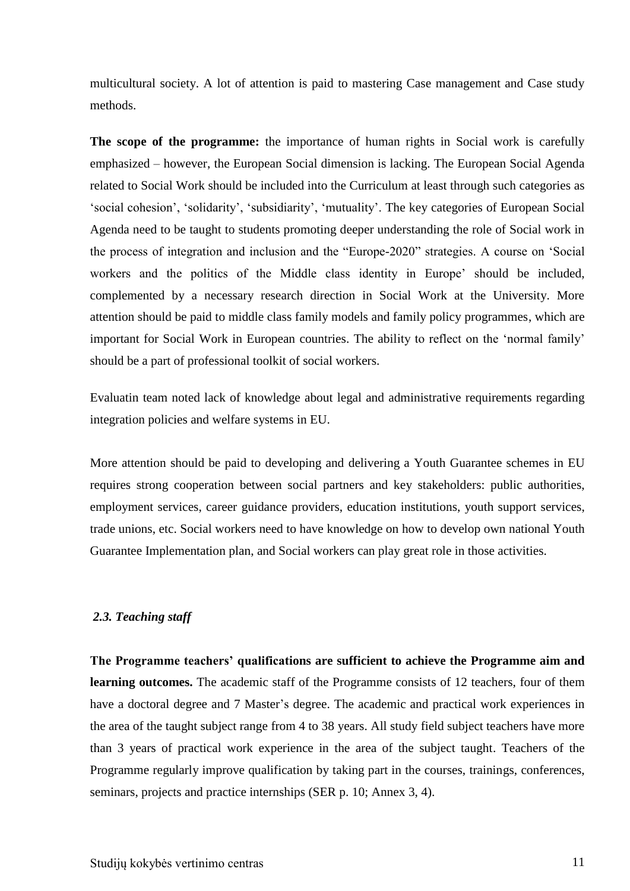multicultural society. A lot of attention is paid to mastering Case management and Case study methods.

**The scope of the programme:** the importance of human rights in Social work is carefully emphasized – however, the European Social dimension is lacking. The European Social Agenda related to Social Work should be included into the Curriculum at least through such categories as 'social cohesion', 'solidarity', 'subsidiarity', 'mutuality'. The key categories of European Social Agenda need to be taught to students promoting deeper understanding the role of Social work in the process of integration and inclusion and the "Europe-2020" strategies. A course on 'Social workers and the politics of the Middle class identity in Europe' should be included, complemented by a necessary research direction in Social Work at the University. More attention should be paid to middle class family models and family policy programmes, which are important for Social Work in European countries. The ability to reflect on the 'normal family' should be a part of professional toolkit of social workers.

Evaluatin team noted lack of knowledge about legal and administrative requirements regarding integration policies and welfare systems in EU.

More attention should be paid to developing and delivering a Youth Guarantee schemes in EU requires strong cooperation between social partners and key stakeholders: public authorities, employment services, career guidance providers, education institutions, youth support services, trade unions, etc. Social workers need to have knowledge on how to develop own national Youth Guarantee Implementation plan, and Social workers can play great role in those activities.

#### <span id="page-10-0"></span>*2.3. Teaching staff*

**The Programme teachers' qualifications are sufficient to achieve the Programme aim and learning outcomes.** The academic staff of the Programme consists of 12 teachers, four of them have a doctoral degree and 7 Master's degree. The academic and practical work experiences in the area of the taught subject range from 4 to 38 years. All study field subject teachers have more than 3 years of practical work experience in the area of the subject taught. Teachers of the Programme regularly improve qualification by taking part in the courses, trainings, conferences, seminars, projects and practice internships (SER p. 10; Annex 3, 4).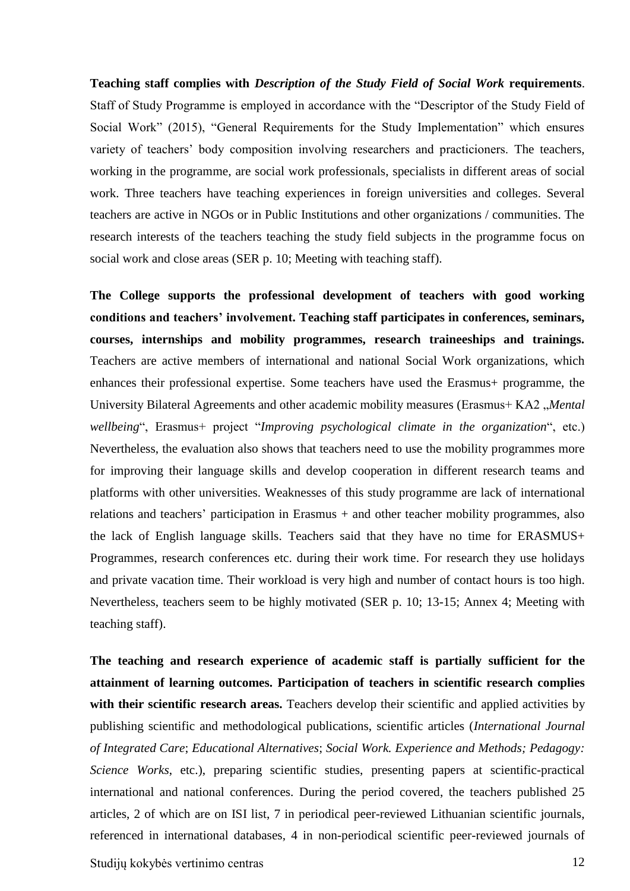**Teaching staff complies with** *Description of the Study Field of Social Work* **requirements**. Staff of Study Programme is employed in accordance with the "Descriptor of the Study Field of Social Work" (2015), "General Requirements for the Study Implementation" which ensures variety of teachers' body composition involving researchers and practicioners. The teachers, working in the programme, are social work professionals, specialists in different areas of social work. Three teachers have teaching experiences in foreign universities and colleges. Several teachers are active in NGOs or in Public Institutions and other organizations / communities. The research interests of the teachers teaching the study field subjects in the programme focus on social work and close areas (SER p. 10; Meeting with teaching staff).

**The College supports the professional development of teachers with good working conditions and teachers' involvement. Teaching staff participates in conferences, seminars, courses, internships and mobility programmes, research traineeships and trainings.**  Teachers are active members of international and national Social Work organizations, which enhances their professional expertise. Some teachers have used the Erasmus+ programme, the University Bilateral Agreements and other academic mobility measures (Erasmus+ KA2 *"Mental wellbeing*", Erasmus+ project "*Improving psychological climate in the organization*", etc.) Nevertheless, the evaluation also shows that teachers need to use the mobility programmes more for improving their language skills and develop cooperation in different research teams and platforms with other universities. Weaknesses of this study programme are lack of international relations and teachers' participation in Erasmus + and other teacher mobility programmes, also the lack of English language skills. Teachers said that they have no time for ERASMUS+ Programmes, research conferences etc. during their work time. For research they use holidays and private vacation time. Their workload is very high and number of contact hours is too high. Nevertheless, teachers seem to be highly motivated (SER p. 10; 13-15; Annex 4; Meeting with teaching staff).

**The teaching and research experience of academic staff is partially sufficient for the attainment of learning outcomes. Participation of teachers in scientific research complies**  with their scientific research areas. Teachers develop their scientific and applied activities by publishing scientific and methodological publications, scientific articles (*International Journal of Integrated Care*; *Educational Alternatives*; *Social Work. Experience and Methods; Pedagogy: Science Works*, etc.), preparing scientific studies, presenting papers at scientific-practical international and national conferences. During the period covered, the teachers published 25 articles, 2 of which are on ISI list, 7 in periodical peer-reviewed Lithuanian scientific journals, referenced in international databases, 4 in non-periodical scientific peer-reviewed journals of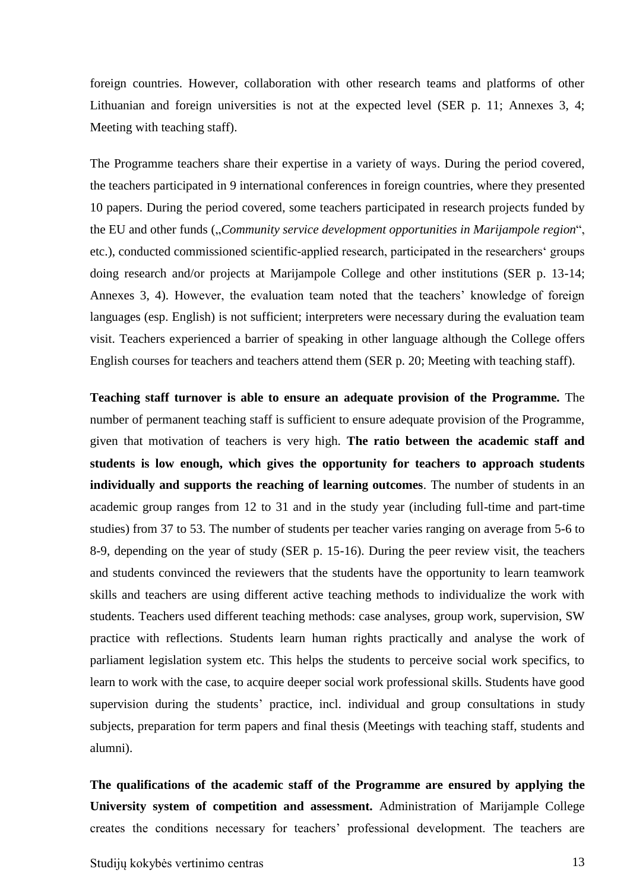foreign countries. However, collaboration with other research teams and platforms of other Lithuanian and foreign universities is not at the expected level (SER p. 11; Annexes 3, 4; Meeting with teaching staff).

The Programme teachers share their expertise in a variety of ways. During the period covered, the teachers participated in 9 international conferences in foreign countries, where they presented 10 papers. During the period covered, some teachers participated in research projects funded by the EU and other funds ("*Community service development opportunities in Marijampole region*", etc.), conducted commissioned scientific-applied research, participated in the researchers' groups doing research and/or projects at Marijampole College and other institutions (SER p. 13-14; Annexes 3, 4). However, the evaluation team noted that the teachers' knowledge of foreign languages (esp. English) is not sufficient; interpreters were necessary during the evaluation team visit. Teachers experienced a barrier of speaking in other language although the College offers English courses for teachers and teachers attend them (SER p. 20; Meeting with teaching staff).

**Teaching staff turnover is able to ensure an adequate provision of the Programme.** The number of permanent teaching staff is sufficient to ensure adequate provision of the Programme, given that motivation of teachers is very high. **The ratio between the academic staff and students is low enough, which gives the opportunity for teachers to approach students individually and supports the reaching of learning outcomes**. The number of students in an academic group ranges from 12 to 31 and in the study year (including full-time and part-time studies) from 37 to 53. The number of students per teacher varies ranging on average from 5-6 to 8-9, depending on the year of study (SER p. 15-16). During the peer review visit, the teachers and students convinced the reviewers that the students have the opportunity to learn teamwork skills and teachers are using different active teaching methods to individualize the work with students. Teachers used different teaching methods: case analyses, group work, supervision, SW practice with reflections. Students learn human rights practically and analyse the work of parliament legislation system etc. This helps the students to perceive social work specifics, to learn to work with the case, to acquire deeper social work professional skills. Students have good supervision during the students' practice, incl. individual and group consultations in study subjects, preparation for term papers and final thesis (Meetings with teaching staff, students and alumni).

**The qualifications of the academic staff of the Programme are ensured by applying the University system of competition and assessment.** Administration of Marijample College creates the conditions necessary for teachers' professional development. The teachers are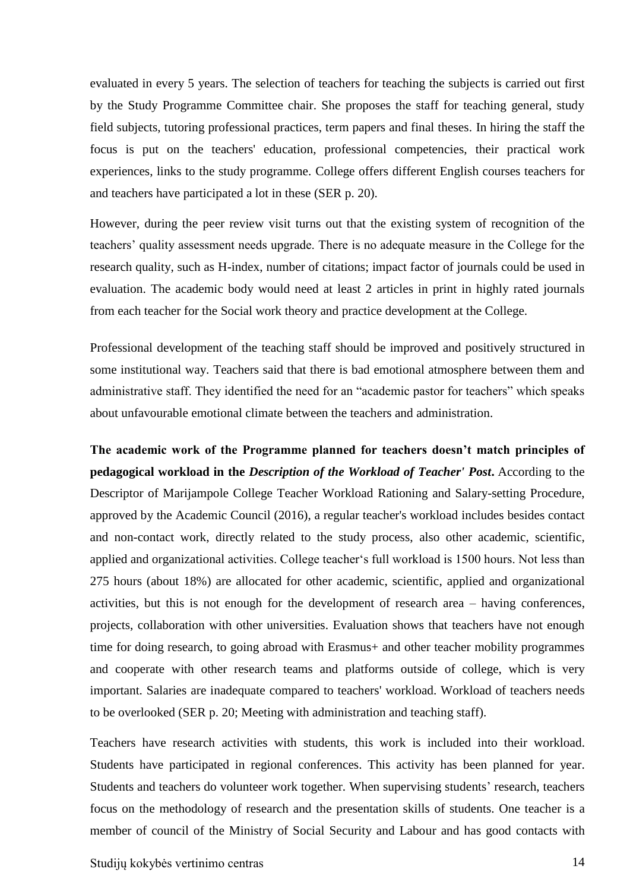evaluated in every 5 years. The selection of teachers for teaching the subjects is carried out first by the Study Programme Committee chair. She proposes the staff for teaching general, study field subjects, tutoring professional practices, term papers and final theses. In hiring the staff the focus is put on the teachers' education, professional competencies, their practical work experiences, links to the study programme. College offers different English courses teachers for and teachers have participated a lot in these (SER p. 20).

However, during the peer review visit turns out that the existing system of recognition of the teachers' quality assessment needs upgrade. There is no adequate measure in the College for the research quality, such as H-index, number of citations; impact factor of journals could be used in evaluation. The academic body would need at least 2 articles in print in highly rated journals from each teacher for the Social work theory and practice development at the College.

Professional development of the teaching staff should be improved and positively structured in some institutional way. Teachers said that there is bad emotional atmosphere between them and administrative staff. They identified the need for an "academic pastor for teachers" which speaks about unfavourable emotional climate between the teachers and administration.

**The academic work of the Programme planned for teachers doesn't match principles of pedagogical workload in the** *Description of the Workload of Teacher' Post***.** According to the Descriptor of Marijampole College Teacher Workload Rationing and Salary-setting Procedure, approved by the Academic Council (2016), a regular teacher's workload includes besides contact and non-contact work, directly related to the study process, also other academic, scientific, applied and organizational activities. College teacher's full workload is 1500 hours. Not less than 275 hours (about 18%) are allocated for other academic, scientific, applied and organizational activities, but this is not enough for the development of research area – having conferences, projects, collaboration with other universities. Evaluation shows that teachers have not enough time for doing research, to going abroad with Erasmus+ and other teacher mobility programmes and cooperate with other research teams and platforms outside of college, which is very important. Salaries are inadequate compared to teachers' workload. Workload of teachers needs to be overlooked (SER p. 20; Meeting with administration and teaching staff).

Teachers have research activities with students, this work is included into their workload. Students have participated in regional conferences. This activity has been planned for year. Students and teachers do volunteer work together. When supervising students' research, teachers focus on the methodology of research and the presentation skills of students. One teacher is a member of council of the Ministry of Social Security and Labour and has good contacts with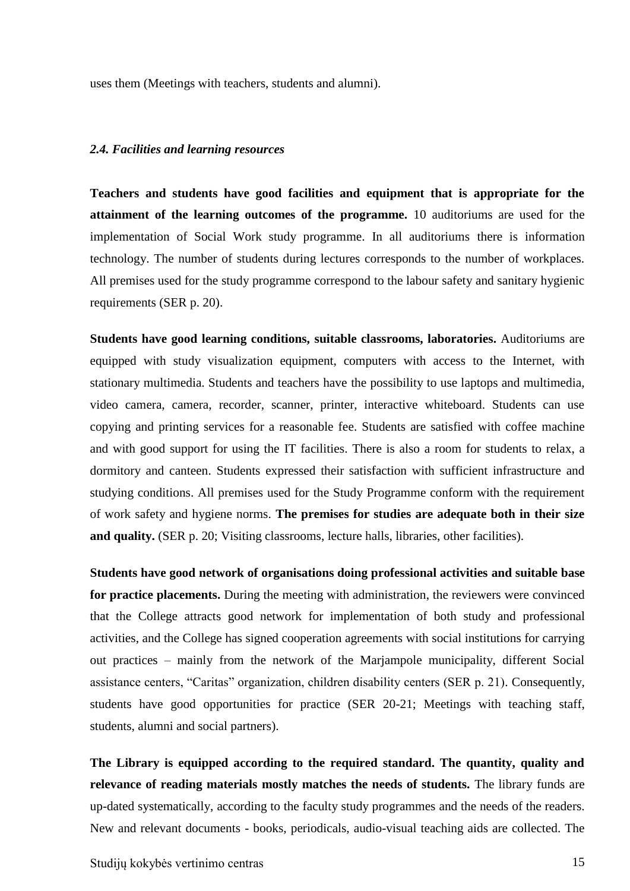<span id="page-14-0"></span>uses them (Meetings with teachers, students and alumni).

### *2.4. Facilities and learning resources*

**Teachers and students have good facilities and equipment that is appropriate for the attainment of the learning outcomes of the programme.** 10 auditoriums are used for the implementation of Social Work study programme. In all auditoriums there is information technology. The number of students during lectures corresponds to the number of workplaces. All premises used for the study programme correspond to the labour safety and sanitary hygienic requirements (SER p. 20).

**Students have good learning conditions, suitable classrooms, laboratories.** Auditoriums are equipped with study visualization equipment, computers with access to the Internet, with stationary multimedia. Students and teachers have the possibility to use laptops and multimedia, video camera, camera, recorder, scanner, printer, interactive whiteboard. Students can use copying and printing services for a reasonable fee. Students are satisfied with coffee machine and with good support for using the IT facilities. There is also a room for students to relax, a dormitory and canteen. Students expressed their satisfaction with sufficient infrastructure and studying conditions. All premises used for the Study Programme conform with the requirement of work safety and hygiene norms. **The premises for studies are adequate both in their size and quality.** (SER p. 20; Visiting classrooms, lecture halls, libraries, other facilities).

**Students have good network of organisations doing professional activities and suitable base for practice placements.** During the meeting with administration, the reviewers were convinced that the College attracts good network for implementation of both study and professional activities, and the College has signed cooperation agreements with social institutions for carrying out practices – mainly from the network of the Marjampole municipality, different Social assistance centers, "Caritas" organization, children disability centers (SER p. 21). Consequently, students have good opportunities for practice (SER 20-21; Meetings with teaching staff, students, alumni and social partners).

**The Library is equipped according to the required standard. The quantity, quality and relevance of reading materials mostly matches the needs of students.** The library funds are up-dated systematically, according to the faculty study programmes and the needs of the readers. New and relevant documents - books, periodicals, audio-visual teaching aids are collected. The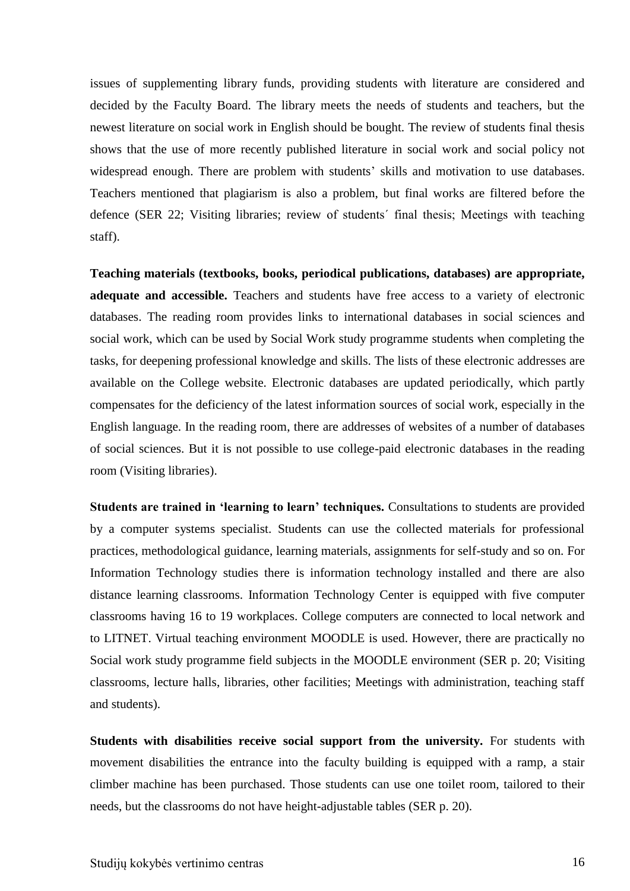issues of supplementing library funds, providing students with literature are considered and decided by the Faculty Board. The library meets the needs of students and teachers, but the newest literature on social work in English should be bought. The review of students final thesis shows that the use of more recently published literature in social work and social policy not widespread enough. There are problem with students' skills and motivation to use databases. Teachers mentioned that plagiarism is also a problem, but final works are filtered before the defence (SER 22; Visiting libraries; review of students´ final thesis; Meetings with teaching staff).

**Teaching materials (textbooks, books, periodical publications, databases) are appropriate, adequate and accessible.** Teachers and students have free access to a variety of electronic databases. The reading room provides links to international databases in social sciences and social work, which can be used by Social Work study programme students when completing the tasks, for deepening professional knowledge and skills. The lists of these electronic addresses are available on the College website. Electronic databases are updated periodically, which partly compensates for the deficiency of the latest information sources of social work, especially in the English language. In the reading room, there are addresses of websites of a number of databases of social sciences. But it is not possible to use college-paid electronic databases in the reading room (Visiting libraries).

**Students are trained in 'learning to learn' techniques.** Consultations to students are provided by a computer systems specialist. Students can use the collected materials for professional practices, methodological guidance, learning materials, assignments for self-study and so on. For Information Technology studies there is information technology installed and there are also distance learning classrooms. Information Technology Center is equipped with five computer classrooms having 16 to 19 workplaces. College computers are connected to local network and to LITNET. Virtual teaching environment MOODLE is used. However, there are practically no Social work study programme field subjects in the MOODLE environment (SER p. 20; Visiting classrooms, lecture halls, libraries, other facilities; Meetings with administration, teaching staff and students).

**Students with disabilities receive social support from the university.** For students with movement disabilities the entrance into the faculty building is equipped with a ramp, a stair climber machine has been purchased. Those students can use one toilet room, tailored to their needs, but the classrooms do not have height-adjustable tables (SER p. 20).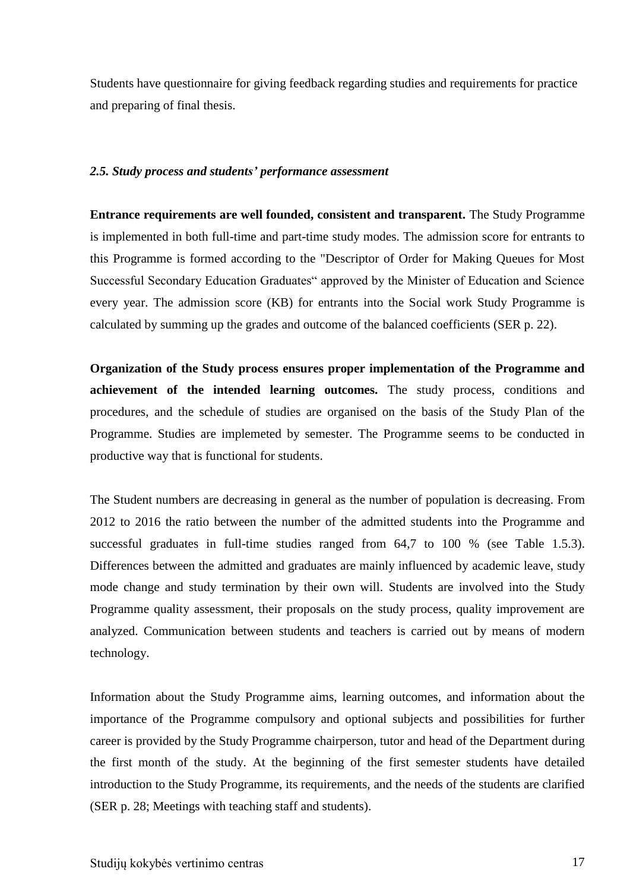Students have questionnaire for giving feedback regarding studies and requirements for practice and preparing of final thesis.

## <span id="page-16-0"></span>*2.5. Study process and students' performance assessment*

**Entrance requirements are well founded, consistent and transparent.** The Study Programme is implemented in both full-time and part-time study modes. The admission score for entrants to this Programme is formed according to the "Descriptor of Order for Making Queues for Most Successful Secondary Education Graduates" approved by the Minister of Education and Science every year. The admission score (KB) for entrants into the Social work Study Programme is calculated by summing up the grades and outcome of the balanced coefficients (SER p. 22).

**Organization of the Study process ensures proper implementation of the Programme and achievement of the intended learning outcomes.** The study process, conditions and procedures, and the schedule of studies are organised on the basis of the Study Plan of the Programme. Studies are implemeted by semester. The Programme seems to be conducted in productive way that is functional for students.

The Student numbers are decreasing in general as the number of population is decreasing. From 2012 to 2016 the ratio between the number of the admitted students into the Programme and successful graduates in full-time studies ranged from 64,7 to 100 % (see Table 1.5.3). Differences between the admitted and graduates are mainly influenced by academic leave, study mode change and study termination by their own will. Students are involved into the Study Programme quality assessment, their proposals on the study process, quality improvement are analyzed. Communication between students and teachers is carried out by means of modern technology.

Information about the Study Programme aims, learning outcomes, and information about the importance of the Programme compulsory and optional subjects and possibilities for further career is provided by the Study Programme chairperson, tutor and head of the Department during the first month of the study. At the beginning of the first semester students have detailed introduction to the Study Programme, its requirements, and the needs of the students are clarified (SER p. 28; Meetings with teaching staff and students).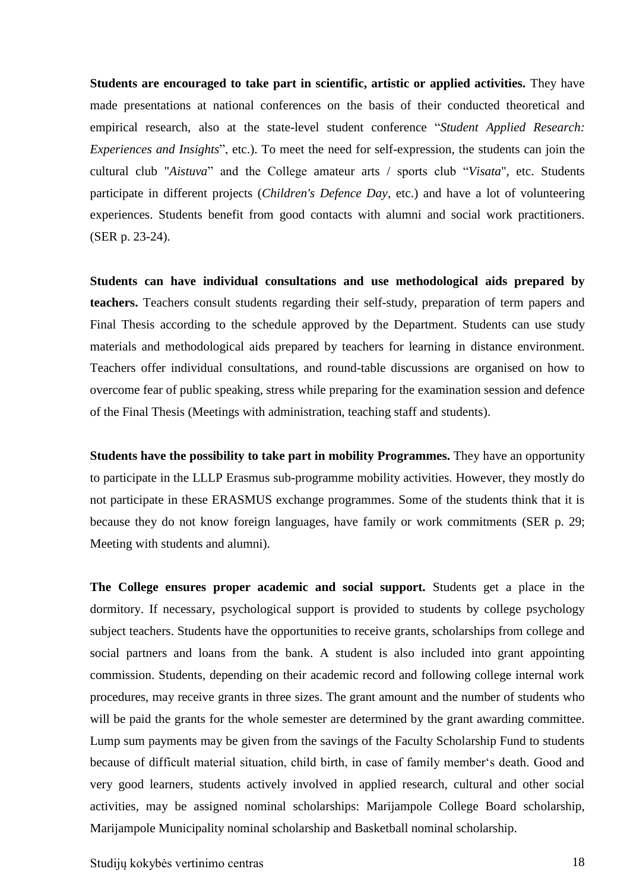**Students are encouraged to take part in scientific, artistic or applied activities.** They have made presentations at national conferences on the basis of their conducted theoretical and empirical research, also at the state-level student conference "*Student Applied Research: Experiences and Insights*", etc.). To meet the need for self-expression, the students can join the cultural club "*Aistuva*" and the College amateur arts / sports club "*Visata*", etc. Students participate in different projects (*Children's Defence Day,* etc.) and have a lot of volunteering experiences. Students benefit from good contacts with alumni and social work practitioners. (SER p. 23-24).

**Students can have individual consultations and use methodological aids prepared by teachers.** Teachers consult students regarding their self-study, preparation of term papers and Final Thesis according to the schedule approved by the Department. Students can use study materials and methodological aids prepared by teachers for learning in distance environment. Teachers offer individual consultations, and round-table discussions are organised on how to overcome fear of public speaking, stress while preparing for the examination session and defence of the Final Thesis (Meetings with administration, teaching staff and students).

**Students have the possibility to take part in mobility Programmes.** They have an opportunity to participate in the LLLP Erasmus sub-programme mobility activities. However, they mostly do not participate in these ERASMUS exchange programmes. Some of the students think that it is because they do not know foreign languages, have family or work commitments (SER p. 29; Meeting with students and alumni).

**The College ensures proper academic and social support.** Students get a place in the dormitory. If necessary, psychological support is provided to students by college psychology subject teachers. Students have the opportunities to receive grants, scholarships from college and social partners and loans from the bank. A student is also included into grant appointing commission. Students, depending on their academic record and following college internal work procedures, may receive grants in three sizes. The grant amount and the number of students who will be paid the grants for the whole semester are determined by the grant awarding committee. Lump sum payments may be given from the savings of the Faculty Scholarship Fund to students because of difficult material situation, child birth, in case of family member's death. Good and very good learners, students actively involved in applied research, cultural and other social activities, may be assigned nominal scholarships: Marijampole College Board scholarship, Marijampole Municipality nominal scholarship and Basketball nominal scholarship.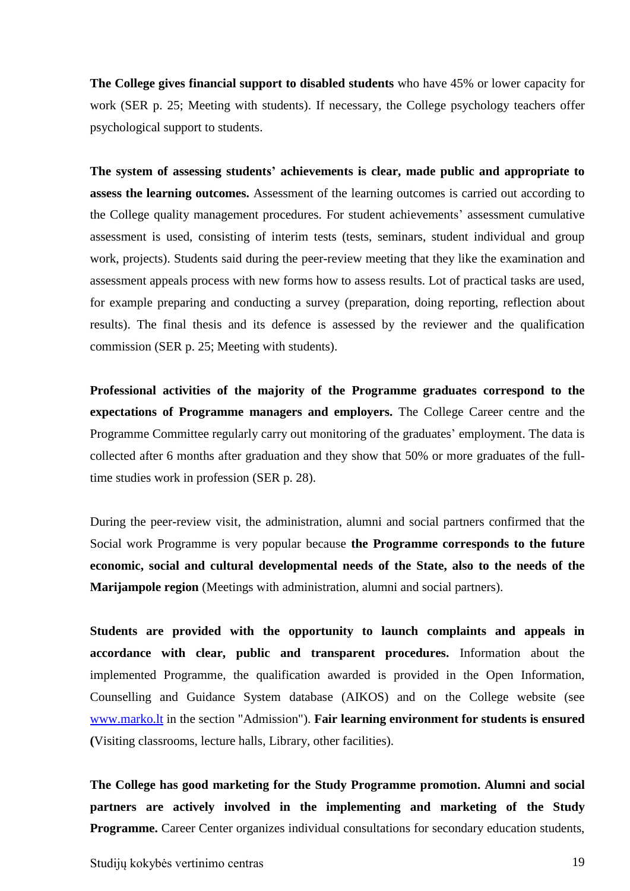**The College gives financial support to disabled students** who have 45% or lower capacity for work (SER p. 25; Meeting with students). If necessary, the College psychology teachers offer psychological support to students.

**The system of assessing students' achievements is clear, made public and appropriate to assess the learning outcomes.** Assessment of the learning outcomes is carried out according to the College quality management procedures. For student achievements' assessment cumulative assessment is used, consisting of interim tests (tests, seminars, student individual and group work, projects). Students said during the peer-review meeting that they like the examination and assessment appeals process with new forms how to assess results. Lot of practical tasks are used, for example preparing and conducting a survey (preparation, doing reporting, reflection about results). The final thesis and its defence is assessed by the reviewer and the qualification commission (SER p. 25; Meeting with students).

**Professional activities of the majority of the Programme graduates correspond to the expectations of Programme managers and employers.** The College Career centre and the Programme Committee regularly carry out monitoring of the graduates' employment. The data is collected after 6 months after graduation and they show that 50% or more graduates of the fulltime studies work in profession (SER p. 28).

During the peer-review visit, the administration, alumni and social partners confirmed that the Social work Programme is very popular because **the Programme corresponds to the future economic, social and cultural developmental needs of the State, also to the needs of the Marijampole region** (Meetings with administration, alumni and social partners).

**Students are provided with the opportunity to launch complaints and appeals in accordance with clear, public and transparent procedures.** Information about the implemented Programme, the qualification awarded is provided in the Open Information, Counselling and Guidance System database (AIKOS) and on the College website (see [www.marko.lt](http://www.marko.lt/) in the section "Admission"). **Fair learning environment for students is ensured (**Visiting classrooms, lecture halls, Library, other facilities).

**The College has good marketing for the Study Programme promotion. Alumni and social partners are actively involved in the implementing and marketing of the Study Programme.** Career Center organizes individual consultations for secondary education students,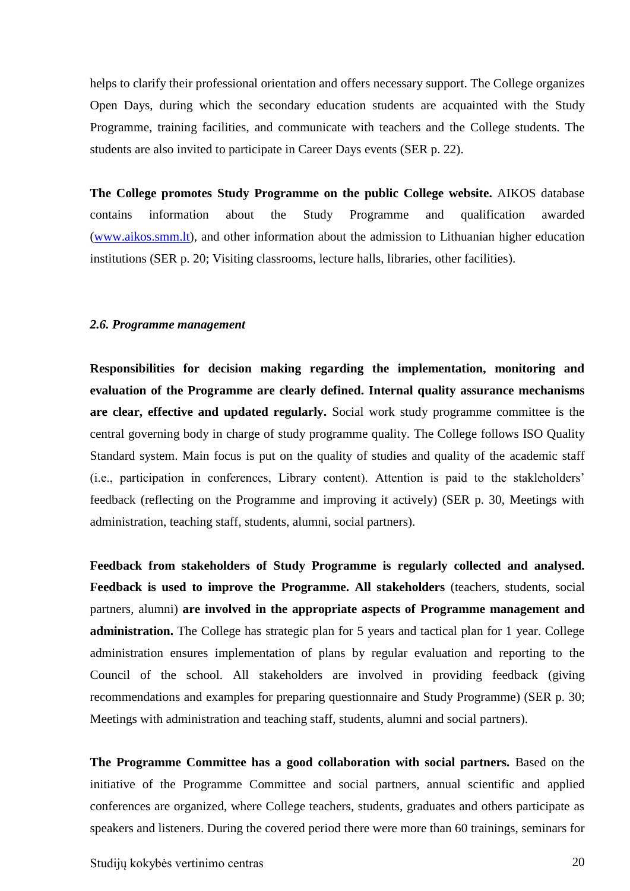helps to clarify their professional orientation and offers necessary support. The College organizes Open Days, during which the secondary education students are acquainted with the Study Programme, training facilities, and communicate with teachers and the College students. The students are also invited to participate in Career Days events (SER p. 22).

**The College promotes Study Programme on the public College website.** AIKOS database contains information about the Study Programme and qualification awarded [\(www.aikos.smm.lt\)](http://www.aikos.smm.lt/), and other information about the admission to Lithuanian higher education institutions (SER p. 20; Visiting classrooms, lecture halls, libraries, other facilities).

#### <span id="page-19-0"></span>*2.6. Programme management*

**Responsibilities for decision making regarding the implementation, monitoring and evaluation of the Programme are clearly defined. Internal quality assurance mechanisms are clear, effective and updated regularly.** Social work study programme committee is the central governing body in charge of study programme quality. The College follows ISO Quality Standard system. Main focus is put on the quality of studies and quality of the academic staff (i.e., participation in conferences, Library content). Attention is paid to the stakleholders' feedback (reflecting on the Programme and improving it actively) (SER p. 30, Meetings with administration, teaching staff, students, alumni, social partners).

**Feedback from stakeholders of Study Programme is regularly collected and analysed. Feedback is used to improve the Programme. All stakeholders** (teachers, students, social partners, alumni) **are involved in the appropriate aspects of Programme management and administration.** The College has strategic plan for 5 years and tactical plan for 1 year. College administration ensures implementation of plans by regular evaluation and reporting to the Council of the school. All stakeholders are involved in providing feedback (giving recommendations and examples for preparing questionnaire and Study Programme) (SER p. 30; Meetings with administration and teaching staff, students, alumni and social partners).

**The Programme Committee has a good collaboration with social partners.** Based on the initiative of the Programme Committee and social partners, annual scientific and applied conferences are organized, where College teachers, students, graduates and others participate as speakers and listeners. During the covered period there were more than 60 trainings, seminars for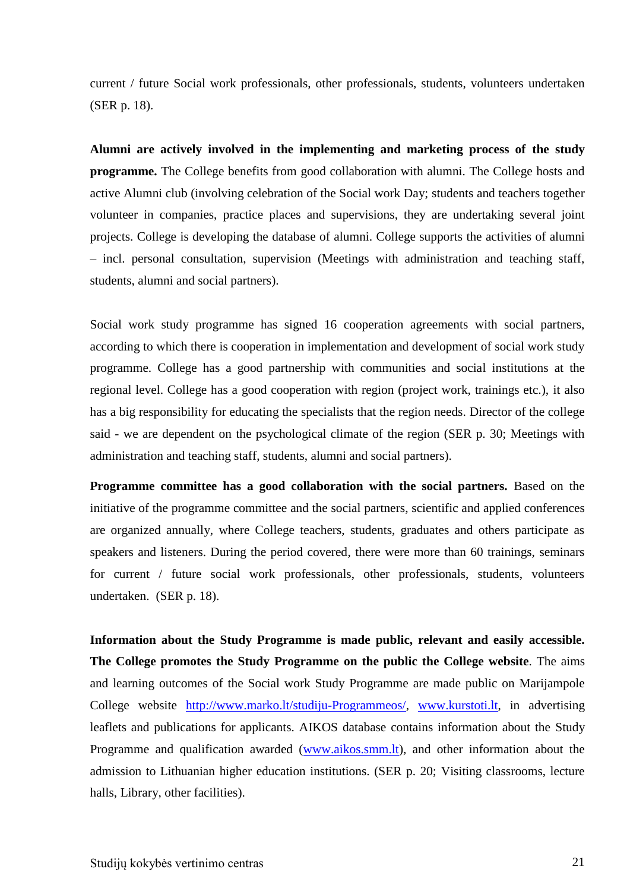current / future Social work professionals, other professionals, students, volunteers undertaken (SER p. 18).

**Alumni are actively involved in the implementing and marketing process of the study programme.** The College benefits from good collaboration with alumni. The College hosts and active Alumni club (involving celebration of the Social work Day; students and teachers together volunteer in companies, practice places and supervisions, they are undertaking several joint projects. College is developing the database of alumni. College supports the activities of alumni – incl. personal consultation, supervision (Meetings with administration and teaching staff, students, alumni and social partners).

Social work study programme has signed 16 cooperation agreements with social partners, according to which there is cooperation in implementation and development of social work study programme. College has a good partnership with communities and social institutions at the regional level. College has a good cooperation with region (project work, trainings etc.), it also has a big responsibility for educating the specialists that the region needs. Director of the college said - we are dependent on the psychological climate of the region (SER p. 30; Meetings with administration and teaching staff, students, alumni and social partners).

**Programme committee has a good collaboration with the social partners.** Based on the initiative of the programme committee and the social partners, scientific and applied conferences are organized annually, where College teachers, students, graduates and others participate as speakers and listeners. During the period covered, there were more than 60 trainings, seminars for current / future social work professionals, other professionals, students, volunteers undertaken. (SER p. 18).

**Information about the Study Programme is made public, relevant and easily accessible. The College promotes the Study Programme on the public the College website**. The aims and learning outcomes of the Social work Study Programme are made public on Marijampole College website [http://www.marko.lt/studiju-Programmeos/,](http://www.marko.lt/studiju-Programmeos/) [www.kurstoti.lt,](http://www.kurstoti.lt/) in advertising leaflets and publications for applicants. AIKOS database contains information about the Study Programme and qualification awarded [\(www.aikos.smm.lt\)](http://www.aikos.smm.lt/), and other information about the admission to Lithuanian higher education institutions. (SER p. 20; Visiting classrooms, lecture halls, Library, other facilities).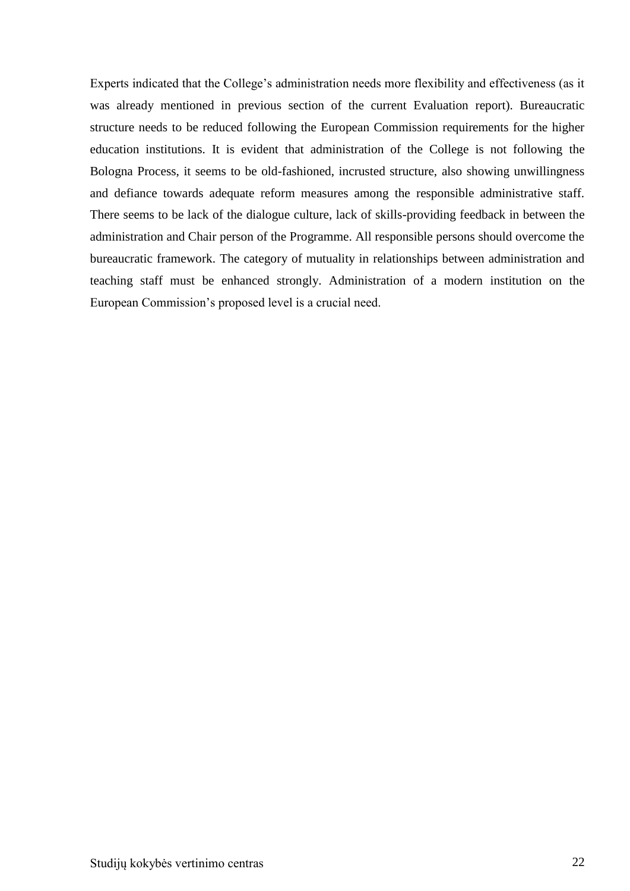<span id="page-21-0"></span>Experts indicated that the College's administration needs more flexibility and effectiveness (as it was already mentioned in previous section of the current Evaluation report). Bureaucratic structure needs to be reduced following the European Commission requirements for the higher education institutions. It is evident that administration of the College is not following the Bologna Process, it seems to be old-fashioned, incrusted structure, also showing unwillingness and defiance towards adequate reform measures among the responsible administrative staff. There seems to be lack of the dialogue culture, lack of skills-providing feedback in between the administration and Chair person of the Programme. All responsible persons should overcome the bureaucratic framework. The category of mutuality in relationships between administration and teaching staff must be enhanced strongly. Administration of a modern institution on the European Commission's proposed level is a crucial need.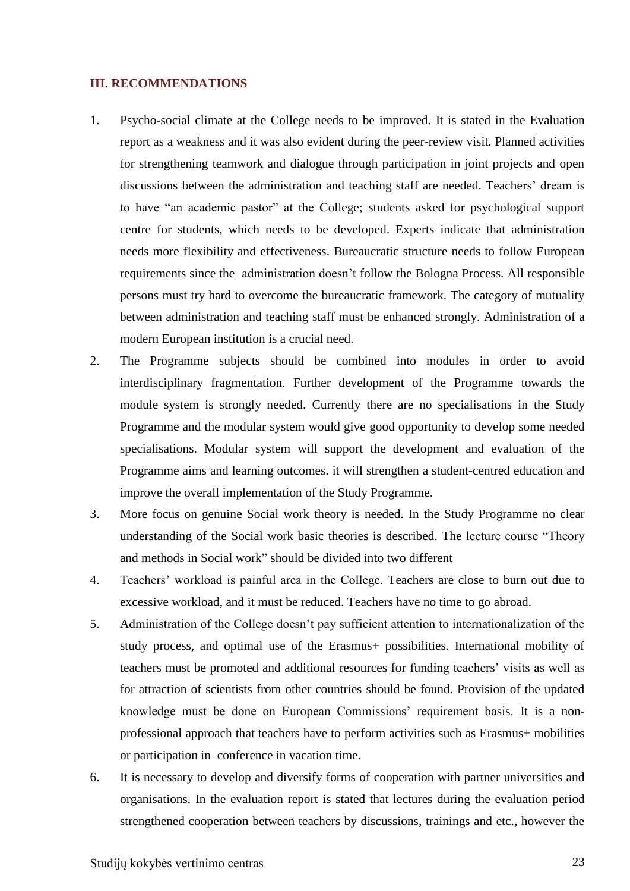## **III. RECOMMENDATIONS**

- 1. Psycho-social climate at the College needs to be improved. It is stated in the Evaluation report as a weakness and it was also evident during the peer-review visit. Planned activities for strengthening teamwork and dialogue through participation in joint projects and open discussions between the administration and teaching staff are needed. Teachers' dream is to have "an academic pastor" at the College; students asked for psychological support centre for students, which needs to be developed. Experts indicate that administration needs more flexibility and effectiveness. Bureaucratic structure needs to follow European requirements since the administration doesn't follow the Bologna Process. All responsible persons must try hard to overcome the bureaucratic framework. The category of mutuality between administration and teaching staff must be enhanced strongly. Administration of a modern European institution is a crucial need.
- 2. The Programme subjects should be combined into modules in order to avoid interdisciplinary fragmentation. Further development of the Programme towards the module system is strongly needed. Currently there are no specialisations in the Study Programme and the modular system would give good opportunity to develop some needed specialisations. Modular system will support the development and evaluation of the Programme aims and learning outcomes. it will strengthen a student-centred education and improve the overall implementation of the Study Programme.
- 3. More focus on genuine Social work theory is needed. In the Study Programme no clear understanding of the Social work basic theories is described. The lecture course "Theory and methods in Social work" should be divided into two different
- 4. Teachers' workload is painful area in the College. Teachers are close to burn out due to excessive workload, and it must be reduced. Teachers have no time to go abroad.
- 5. Administration of the College doesn't pay sufficient attention to internationalization of the study process, and optimal use of the Erasmus+ possibilities. International mobility of teachers must be promoted and additional resources for funding teachers' visits as well as for attraction of scientists from other countries should be found. Provision of the updated knowledge must be done on European Commissions' requirement basis. It is a nonprofessional approach that teachers have to perform activities such as Erasmus+ mobilities or participation in conference in vacation time.
- 6. It is necessary to develop and diversify forms of cooperation with partner universities and organisations. In the evaluation report is stated that lectures during the evaluation period strengthened cooperation between teachers by discussions, trainings and etc., however the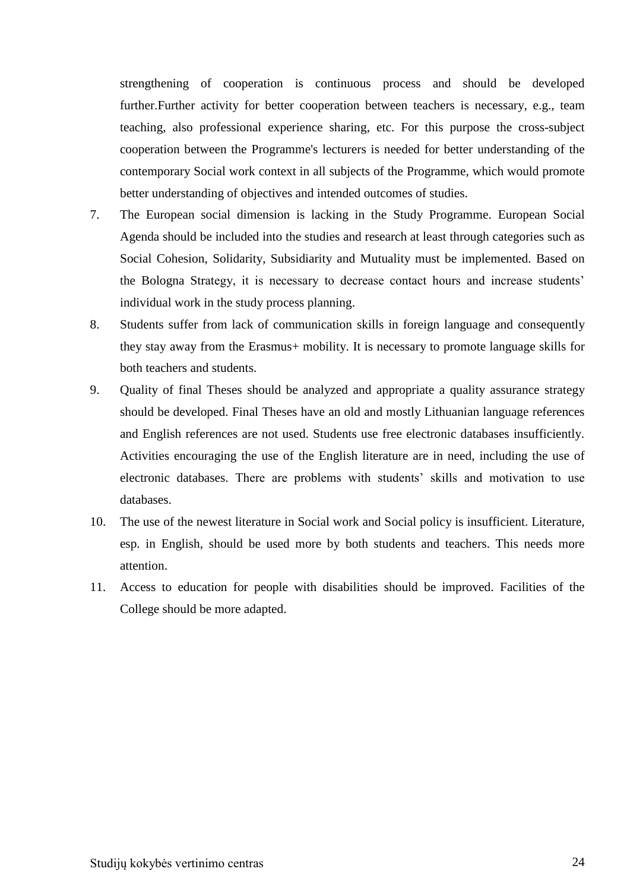strengthening of cooperation is continuous process and should be developed further.Further activity for better cooperation between teachers is necessary, e.g., team teaching, also professional experience sharing, etc. For this purpose the cross-subject cooperation between the Programme's lecturers is needed for better understanding of the contemporary Social work context in all subjects of the Programme, which would promote better understanding of objectives and intended outcomes of studies.

- 7. The European social dimension is lacking in the Study Programme. European Social Agenda should be included into the studies and research at least through categories such as Social Cohesion, Solidarity, Subsidiarity and Mutuality must be implemented. Based on the Bologna Strategy, it is necessary to decrease contact hours and increase students' individual work in the study process planning.
- 8. Students suffer from lack of communication skills in foreign language and consequently they stay away from the Erasmus+ mobility. It is necessary to promote language skills for both teachers and students.
- 9. Quality of final Theses should be analyzed and appropriate a quality assurance strategy should be developed. Final Theses have an old and mostly Lithuanian language references and English references are not used. Students use free electronic databases insufficiently. Activities encouraging the use of the English literature are in need, including the use of electronic databases. There are problems with students' skills and motivation to use databases.
- 10. The use of the newest literature in Social work and Social policy is insufficient. Literature, esp. in English, should be used more by both students and teachers. This needs more attention.
- <span id="page-23-0"></span>11. Access to education for people with disabilities should be improved. Facilities of the College should be more adapted.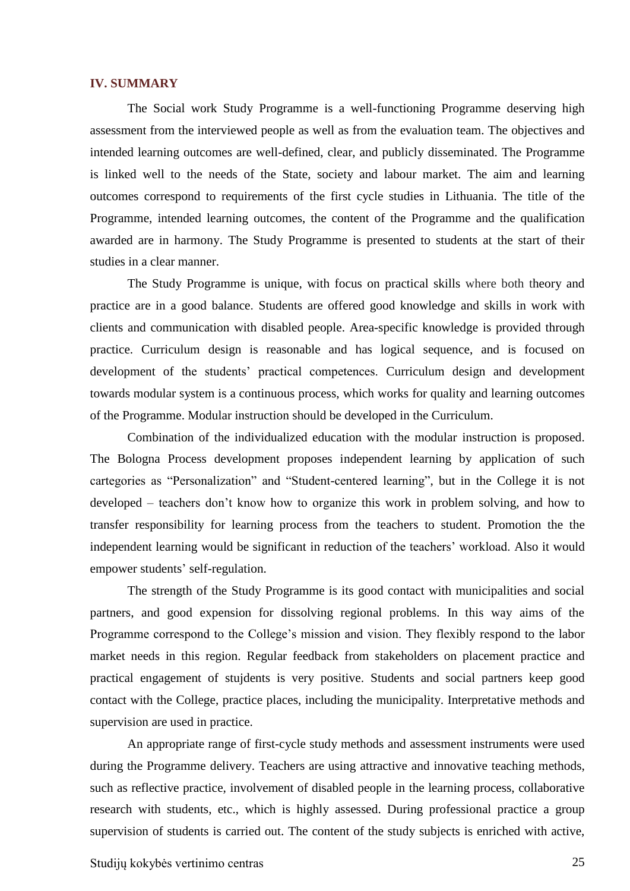#### **IV. SUMMARY**

The Social work Study Programme is a well-functioning Programme deserving high assessment from the interviewed people as well as from the evaluation team. The objectives and intended learning outcomes are well-defined, clear, and publicly disseminated. The Programme is linked well to the needs of the State, society and labour market. The aim and learning outcomes correspond to requirements of the first cycle studies in Lithuania. The title of the Programme, intended learning outcomes, the content of the Programme and the qualification awarded are in harmony. The Study Programme is presented to students at the start of their studies in a clear manner.

The Study Programme is unique, with focus on practical skills where both theory and practice are in a good balance. Students are offered good knowledge and skills in work with clients and communication with disabled people. Area-specific knowledge is provided through practice. Curriculum design is reasonable and has logical sequence, and is focused on development of the students' practical competences. Curriculum design and development towards modular system is a continuous process, which works for quality and learning outcomes of the Programme. Modular instruction should be developed in the Curriculum.

Combination of the individualized education with the modular instruction is proposed. The Bologna Process development proposes independent learning by application of such cartegories as "Personalization" and "Student-centered learning", but in the College it is not developed – teachers don't know how to organize this work in problem solving, and how to transfer responsibility for learning process from the teachers to student. Promotion the the independent learning would be significant in reduction of the teachers' workload. Also it would empower students' self-regulation.

The strength of the Study Programme is its good contact with municipalities and social partners, and good expension for dissolving regional problems. In this way aims of the Programme correspond to the College's mission and vision. They flexibly respond to the labor market needs in this region. Regular feedback from stakeholders on placement practice and practical engagement of stujdents is very positive. Students and social partners keep good contact with the College, practice places, including the municipality. Interpretative methods and supervision are used in practice.

An appropriate range of first-cycle study methods and assessment instruments were used during the Programme delivery. Teachers are using attractive and innovative teaching methods, such as reflective practice, involvement of disabled people in the learning process, collaborative research with students, etc., which is highly assessed. During professional practice a group supervision of students is carried out. The content of the study subjects is enriched with active,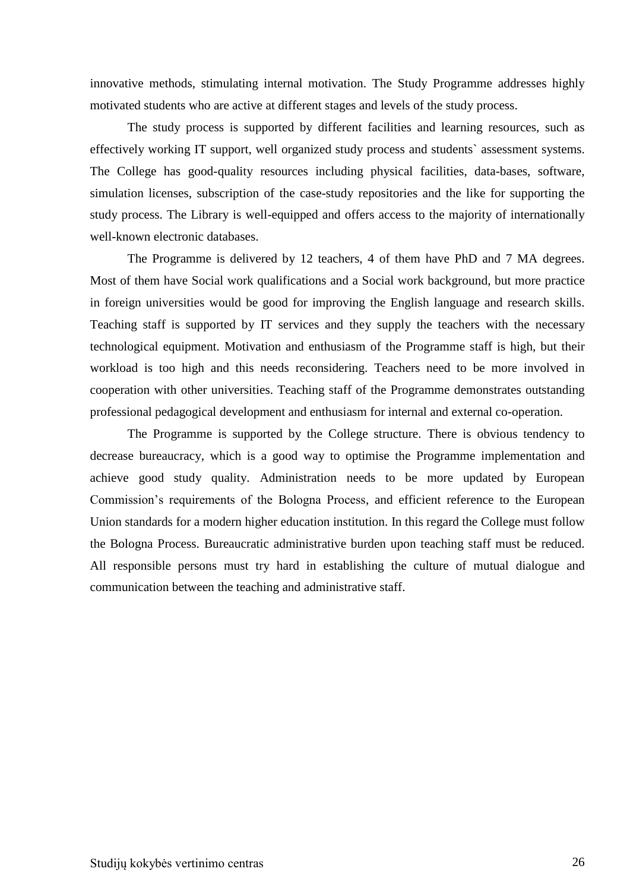innovative methods, stimulating internal motivation. The Study Programme addresses highly motivated students who are active at different stages and levels of the study process.

The study process is supported by different facilities and learning resources, such as effectively working IT support, well organized study process and students` assessment systems. The College has good-quality resources including physical facilities, data-bases, software, simulation licenses, subscription of the case-study repositories and the like for supporting the study process. The Library is well-equipped and offers access to the majority of internationally well-known electronic databases.

The Programme is delivered by 12 teachers, 4 of them have PhD and 7 MA degrees. Most of them have Social work qualifications and a Social work background, but more practice in foreign universities would be good for improving the English language and research skills. Teaching staff is supported by IT services and they supply the teachers with the necessary technological equipment. Motivation and enthusiasm of the Programme staff is high, but their workload is too high and this needs reconsidering. Teachers need to be more involved in cooperation with other universities. Teaching staff of the Programme demonstrates outstanding professional pedagogical development and enthusiasm for internal and external co-operation.

<span id="page-25-0"></span>The Programme is supported by the College structure. There is obvious tendency to decrease bureaucracy, which is a good way to optimise the Programme implementation and achieve good study quality. Administration needs to be more updated by European Commission's requirements of the Bologna Process, and efficient reference to the European Union standards for a modern higher education institution. In this regard the College must follow the Bologna Process. Bureaucratic administrative burden upon teaching staff must be reduced. All responsible persons must try hard in establishing the culture of mutual dialogue and communication between the teaching and administrative staff.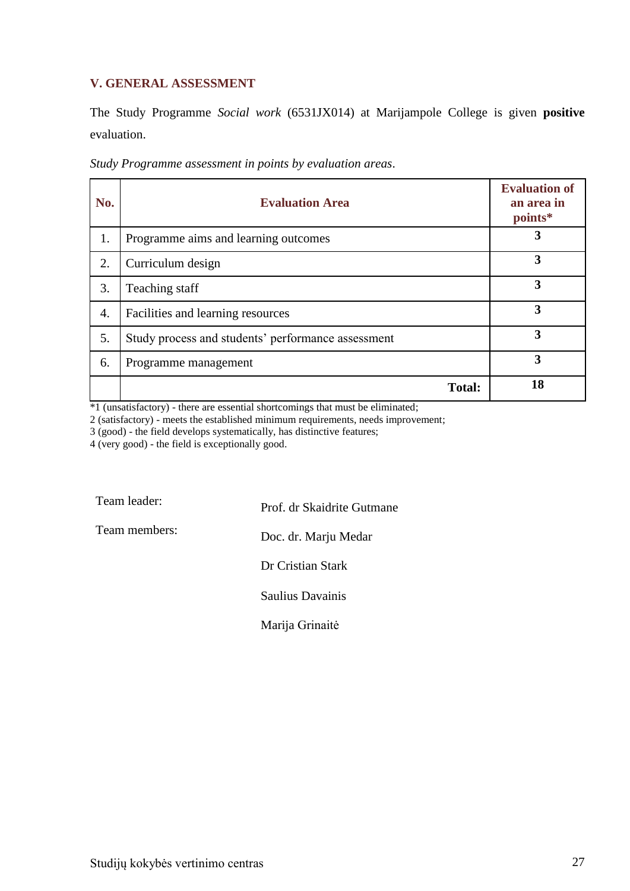# **V. GENERAL ASSESSMENT**

The Study Programme *Social work* (6531JX014) at Marijampole College is given **positive**  evaluation.

| No. | <b>Evaluation Area</b>                             | <b>Evaluation of</b><br>an area in<br>points* |
|-----|----------------------------------------------------|-----------------------------------------------|
| 1.  | Programme aims and learning outcomes               | 3                                             |
| 2.  | Curriculum design                                  | 3                                             |
| 3.  | Teaching staff                                     | 3                                             |
| 4.  | Facilities and learning resources                  | 3                                             |
| 5.  | Study process and students' performance assessment | 3                                             |
| 6.  | Programme management                               | 3                                             |
|     | <b>Total:</b>                                      | 18                                            |

*Study Programme assessment in points by evaluation areas*.

\*1 (unsatisfactory) - there are essential shortcomings that must be eliminated;

2 (satisfactory) - meets the established minimum requirements, needs improvement;

3 (good) - the field develops systematically, has distinctive features;

4 (very good) - the field is exceptionally good.

Team leader: Prof. dr Skaidrite Gutmane

Team members: Doc. dr. Marju Medar

Dr Cristian Stark

Saulius Davainis

Marija Grinaitė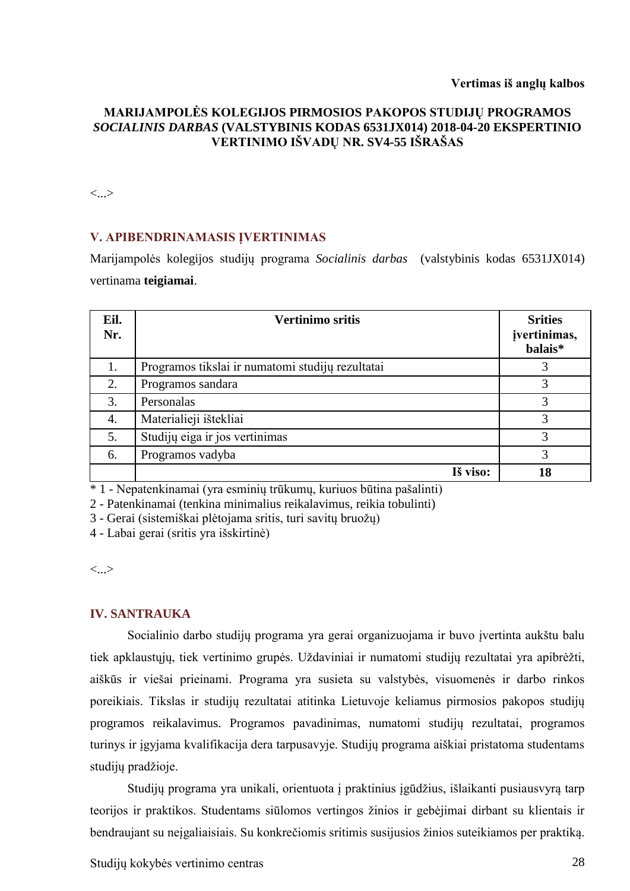#### **Vertimas iš anglų kalbos**

## **MARIJAMPOLĖS KOLEGIJOS PIRMOSIOS PAKOPOS STUDIJŲ PROGRAMOS**  *SOCIALINIS DARBAS* **(VALSTYBINIS KODAS 6531JX014) 2018-04-20 EKSPERTINIO VERTINIMO IŠVADŲ NR. SV4-55 IŠRAŠAS**

<...>

## **V. APIBENDRINAMASIS ĮVERTINIMAS**

Marijampolės kolegijos studijų programa *Socialinis darbas* (valstybinis kodas 6531JX014) vertinama **teigiamai**.

| Eil.<br>Nr. | <b>Vertinimo sritis</b>                          | <b>Srities</b><br>jvertinimas,<br>balais* |
|-------------|--------------------------------------------------|-------------------------------------------|
| 1.          | Programos tikslai ir numatomi studijų rezultatai | 3                                         |
| 2.          | Programos sandara                                | 3                                         |
| 3.          | Personalas                                       | 3                                         |
| 4.          | Materialieji ištekliai                           | 3                                         |
| 5.          | Studijų eiga ir jos vertinimas                   | 3                                         |
| 6.          | Programos vadyba                                 | 3                                         |
|             | Iš viso:                                         | 18                                        |

\* 1 - Nepatenkinamai (yra esminių trūkumų, kuriuos būtina pašalinti)

2 - Patenkinamai (tenkina minimalius reikalavimus, reikia tobulinti)

3 - Gerai (sistemiškai plėtojama sritis, turi savitų bruožų)

4 - Labai gerai (sritis yra išskirtinė)

<...>

## **IV. SANTRAUKA**

Socialinio darbo studijų programa yra gerai organizuojama ir buvo įvertinta aukštu balu tiek apklaustųjų, tiek vertinimo grupės. Uždaviniai ir numatomi studijų rezultatai yra apibrėžti, aiškūs ir viešai prieinami. Programa yra susieta su valstybės, visuomenės ir darbo rinkos poreikiais. Tikslas ir studijų rezultatai atitinka Lietuvoje keliamus pirmosios pakopos studijų programos reikalavimus. Programos pavadinimas, numatomi studijų rezultatai, programos turinys ir įgyjama kvalifikacija dera tarpusavyje. Studijų programa aiškiai pristatoma studentams studijų pradžioje.

Studijų programa yra unikali, orientuota į praktinius įgūdžius, išlaikanti pusiausvyrą tarp teorijos ir praktikos. Studentams siūlomos vertingos žinios ir gebėjimai dirbant su klientais ir bendraujant su neįgaliaisiais. Su konkrečiomis sritimis susijusios žinios suteikiamos per praktiką.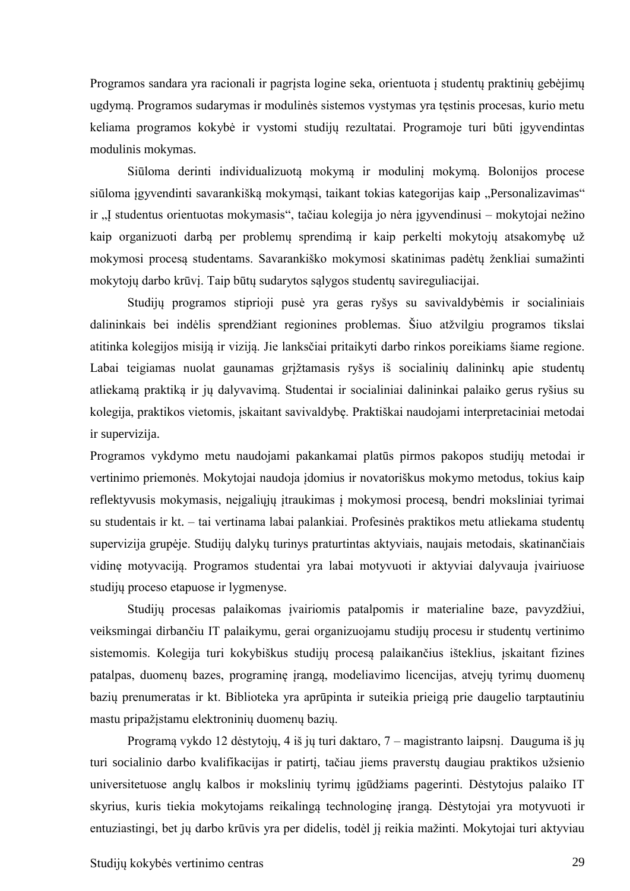Programos sandara yra racionali ir pagrįsta logine seka, orientuota į studentų praktinių gebėjimų ugdymą. Programos sudarymas ir modulinės sistemos vystymas yra tęstinis procesas, kurio metu keliama programos kokybė ir vystomi studijų rezultatai. Programoje turi būti įgyvendintas modulinis mokymas.

Siūloma derinti individualizuotą mokymą ir modulinį mokymą. Bolonijos procese siūloma įgyvendinti savarankišką mokymąsi, taikant tokias kategorijas kaip "Personalizavimas" ir "Į studentus orientuotas mokymasis", tačiau kolegija jo nėra įgyvendinusi – mokytojai nežino kaip organizuoti darbą per problemų sprendimą ir kaip perkelti mokytojų atsakomybę už mokymosi procesą studentams. Savarankiško mokymosi skatinimas padėtų ženkliai sumažinti mokytojų darbo krūvį. Taip būtų sudarytos sąlygos studentų savireguliacijai.

Studijų programos stiprioji pusė yra geras ryšys su savivaldybėmis ir socialiniais dalininkais bei indėlis sprendžiant regionines problemas. Šiuo atžvilgiu programos tikslai atitinka kolegijos misiją ir viziją. Jie lanksčiai pritaikyti darbo rinkos poreikiams šiame regione. Labai teigiamas nuolat gaunamas grįžtamasis ryšys iš socialinių dalininkų apie studentų atliekamą praktiką ir jų dalyvavimą. Studentai ir socialiniai dalininkai palaiko gerus ryšius su kolegija, praktikos vietomis, įskaitant savivaldybę. Praktiškai naudojami interpretaciniai metodai ir supervizija.

Programos vykdymo metu naudojami pakankamai platūs pirmos pakopos studijų metodai ir vertinimo priemonės. Mokytojai naudoja įdomius ir novatoriškus mokymo metodus, tokius kaip reflektyvusis mokymasis, neįgaliųjų įtraukimas į mokymosi procesą, bendri moksliniai tyrimai su studentais ir kt. – tai vertinama labai palankiai. Profesinės praktikos metu atliekama studentų supervizija grupėje. Studijų dalykų turinys praturtintas aktyviais, naujais metodais, skatinančiais vidinę motyvaciją. Programos studentai yra labai motyvuoti ir aktyviai dalyvauja įvairiuose studijų proceso etapuose ir lygmenyse.

Studijų procesas palaikomas įvairiomis patalpomis ir materialine baze, pavyzdžiui, veiksmingai dirbančiu IT palaikymu, gerai organizuojamu studijų procesu ir studentų vertinimo sistemomis. Kolegija turi kokybiškus studijų procesą palaikančius išteklius, įskaitant fizines patalpas, duomenų bazes, programinę įrangą, modeliavimo licencijas, atvejų tyrimų duomenų bazių prenumeratas ir kt. Biblioteka yra aprūpinta ir suteikia prieigą prie daugelio tarptautiniu mastu pripažįstamu elektroninių duomenų bazių.

Programą vykdo 12 dėstytojų, 4 iš jų turi daktaro, 7 – magistranto laipsnį. Dauguma iš jų turi socialinio darbo kvalifikacijas ir patirtį, tačiau jiems praverstų daugiau praktikos užsienio universitetuose anglų kalbos ir mokslinių tyrimų įgūdžiams pagerinti. Dėstytojus palaiko IT skyrius, kuris tiekia mokytojams reikalingą technologinę įrangą. Dėstytojai yra motyvuoti ir entuziastingi, bet jų darbo krūvis yra per didelis, todėl jį reikia mažinti. Mokytojai turi aktyviau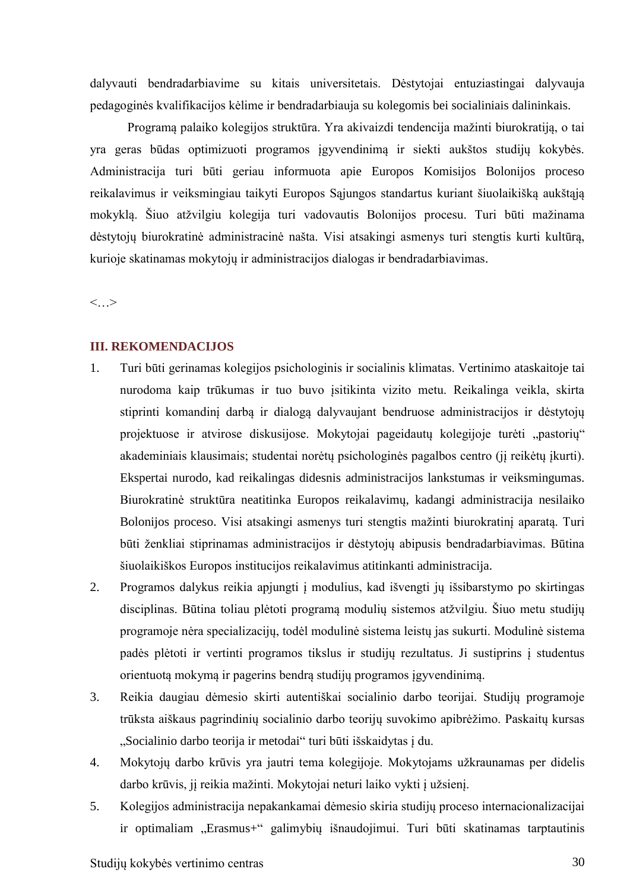dalyvauti bendradarbiavime su kitais universitetais. Dėstytojai entuziastingai dalyvauja pedagoginės kvalifikacijos kėlime ir bendradarbiauja su kolegomis bei socialiniais dalininkais.

Programą palaiko kolegijos struktūra. Yra akivaizdi tendencija mažinti biurokratiją, o tai yra geras būdas optimizuoti programos įgyvendinimą ir siekti aukštos studijų kokybės. Administracija turi būti geriau informuota apie Europos Komisijos Bolonijos proceso reikalavimus ir veiksmingiau taikyti Europos Sąjungos standartus kuriant šiuolaikišką aukštąją mokyklą. Šiuo atžvilgiu kolegija turi vadovautis Bolonijos procesu. Turi būti mažinama dėstytojų biurokratinė administracinė našta. Visi atsakingi asmenys turi stengtis kurti kultūrą, kurioje skatinamas mokytojų ir administracijos dialogas ir bendradarbiavimas.

<…>

#### **III. REKOMENDACIJOS**

- 1. Turi būti gerinamas kolegijos psichologinis ir socialinis klimatas. Vertinimo ataskaitoje tai nurodoma kaip trūkumas ir tuo buvo įsitikinta vizito metu. Reikalinga veikla, skirta stiprinti komandinį darbą ir dialogą dalyvaujant bendruose administracijos ir dėstytojų projektuose ir atvirose diskusijose. Mokytojai pageidautų kolegijoje turėti "pastorių" akademiniais klausimais; studentai norėtų psichologinės pagalbos centro (jį reikėtų įkurti). Ekspertai nurodo, kad reikalingas didesnis administracijos lankstumas ir veiksmingumas. Biurokratinė struktūra neatitinka Europos reikalavimų, kadangi administracija nesilaiko Bolonijos proceso. Visi atsakingi asmenys turi stengtis mažinti biurokratinį aparatą. Turi būti ženkliai stiprinamas administracijos ir dėstytojų abipusis bendradarbiavimas. Būtina šiuolaikiškos Europos institucijos reikalavimus atitinkanti administracija.
- 2. Programos dalykus reikia apjungti į modulius, kad išvengti jų išsibarstymo po skirtingas disciplinas. Būtina toliau plėtoti programą modulių sistemos atžvilgiu. Šiuo metu studijų programoje nėra specializacijų, todėl modulinė sistema leistų jas sukurti. Modulinė sistema padės plėtoti ir vertinti programos tikslus ir studijų rezultatus. Ji sustiprins į studentus orientuotą mokymą ir pagerins bendrą studijų programos įgyvendinimą.
- 3. Reikia daugiau dėmesio skirti autentiškai socialinio darbo teorijai. Studijų programoje trūksta aiškaus pagrindinių socialinio darbo teorijų suvokimo apibrėžimo. Paskaitų kursas "Socialinio darbo teorija ir metodai" turi būti išskaidytas į du.
- 4. Mokytojų darbo krūvis yra jautri tema kolegijoje. Mokytojams užkraunamas per didelis darbo krūvis, jį reikia mažinti. Mokytojai neturi laiko vykti į užsienį.
- 5. Kolegijos administracija nepakankamai dėmesio skiria studijų proceso internacionalizacijai ir optimaliam "Erasmus+" galimybių išnaudojimui. Turi būti skatinamas tarptautinis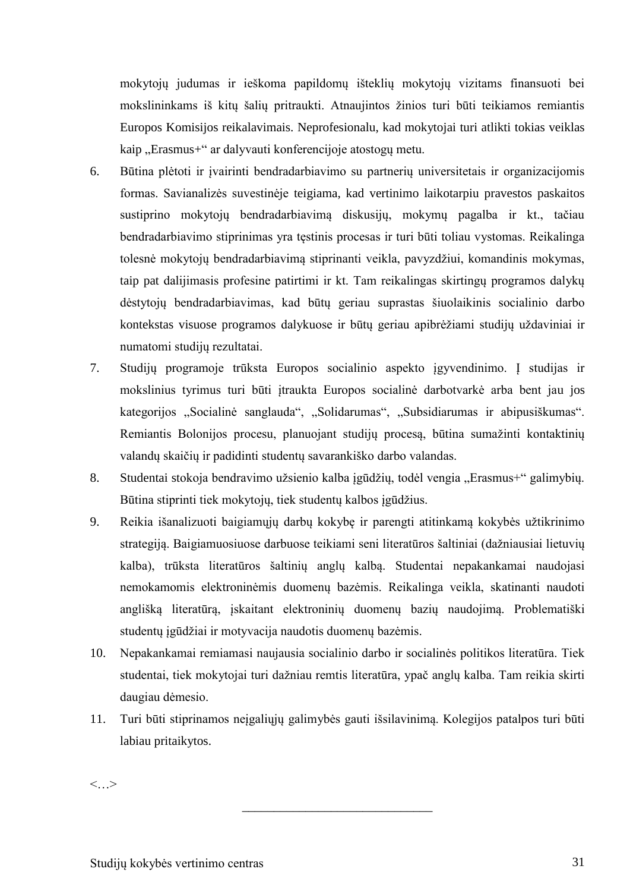mokytojų judumas ir ieškoma papildomų išteklių mokytojų vizitams finansuoti bei mokslininkams iš kitų šalių pritraukti. Atnaujintos žinios turi būti teikiamos remiantis Europos Komisijos reikalavimais. Neprofesionalu, kad mokytojai turi atlikti tokias veiklas kaip "Erasmus+" ar dalyvauti konferencijoje atostogų metu.

- 6. Būtina plėtoti ir įvairinti bendradarbiavimo su partnerių universitetais ir organizacijomis formas. Savianalizės suvestinėje teigiama, kad vertinimo laikotarpiu pravestos paskaitos sustiprino mokytojų bendradarbiavimą diskusijų, mokymų pagalba ir kt., tačiau bendradarbiavimo stiprinimas yra tęstinis procesas ir turi būti toliau vystomas. Reikalinga tolesnė mokytojų bendradarbiavimą stiprinanti veikla, pavyzdžiui, komandinis mokymas, taip pat dalijimasis profesine patirtimi ir kt. Tam reikalingas skirtingų programos dalykų dėstytojų bendradarbiavimas, kad būtų geriau suprastas šiuolaikinis socialinio darbo kontekstas visuose programos dalykuose ir būtų geriau apibrėžiami studijų uždaviniai ir numatomi studijų rezultatai.
- 7. Studijų programoje trūksta Europos socialinio aspekto įgyvendinimo. Į studijas ir mokslinius tyrimus turi būti įtraukta Europos socialinė darbotvarkė arba bent jau jos kategorijos "Socialinė sanglauda", "Solidarumas", "Subsidiarumas ir abipusiškumas". Remiantis Bolonijos procesu, planuojant studijų procesą, būtina sumažinti kontaktinių valandų skaičių ir padidinti studentų savarankiško darbo valandas.
- 8. Studentai stokoja bendravimo užsienio kalba įgūdžių, todėl vengia "Erasmus+" galimybių. Būtina stiprinti tiek mokytojų, tiek studentų kalbos įgūdžius.
- 9. Reikia išanalizuoti baigiamųjų darbų kokybę ir parengti atitinkamą kokybės užtikrinimo strategiją. Baigiamuosiuose darbuose teikiami seni literatūros šaltiniai (dažniausiai lietuvių kalba), trūksta literatūros šaltinių anglų kalbą. Studentai nepakankamai naudojasi nemokamomis elektroninėmis duomenų bazėmis. Reikalinga veikla, skatinanti naudoti anglišką literatūrą, įskaitant elektroninių duomenų bazių naudojimą. Problematiški studentų įgūdžiai ir motyvacija naudotis duomenų bazėmis.
- 10. Nepakankamai remiamasi naujausia socialinio darbo ir socialinės politikos literatūra. Tiek studentai, tiek mokytojai turi dažniau remtis literatūra, ypač anglų kalba. Tam reikia skirti daugiau dėmesio.
- 11. Turi būti stiprinamos neįgaliųjų galimybės gauti išsilavinimą. Kolegijos patalpos turi būti labiau pritaikytos.

\_\_\_\_\_\_\_\_\_\_\_\_\_\_\_\_\_\_\_\_\_\_\_\_\_\_\_\_\_\_

 $\langle \rangle$